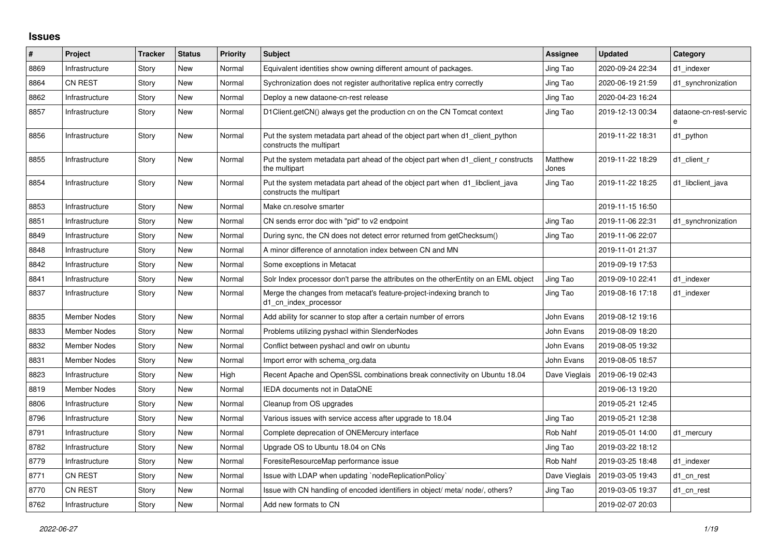## **Issues**

| $\#$ | Project             | <b>Tracker</b> | <b>Status</b> | <b>Priority</b> | <b>Subject</b>                                                                                           | <b>Assignee</b>  | <b>Updated</b>   | Category                    |
|------|---------------------|----------------|---------------|-----------------|----------------------------------------------------------------------------------------------------------|------------------|------------------|-----------------------------|
| 8869 | Infrastructure      | Story          | New           | Normal          | Equivalent identities show owning different amount of packages.                                          | Jing Tao         | 2020-09-24 22:34 | d1 indexer                  |
| 8864 | <b>CN REST</b>      | Story          | New           | Normal          | Sychronization does not register authoritative replica entry correctly                                   | Jing Tao         | 2020-06-19 21:59 | d1 synchronization          |
| 8862 | Infrastructure      | Story          | New           | Normal          | Deploy a new dataone-cn-rest release                                                                     | Jing Tao         | 2020-04-23 16:24 |                             |
| 8857 | Infrastructure      | Story          | New           | Normal          | D1Client.getCN() always get the production cn on the CN Tomcat context                                   | Jing Tao         | 2019-12-13 00:34 | dataone-cn-rest-servic<br>e |
| 8856 | Infrastructure      | Story          | New           | Normal          | Put the system metadata part ahead of the object part when d1 client python<br>constructs the multipart  |                  | 2019-11-22 18:31 | d1 python                   |
| 8855 | Infrastructure      | Story          | New           | Normal          | Put the system metadata part ahead of the object part when d1_client_r constructs<br>the multipart       | Matthew<br>Jones | 2019-11-22 18:29 | d1_client_r                 |
| 8854 | Infrastructure      | Story          | New           | Normal          | Put the system metadata part ahead of the object part when d1_libclient_java<br>constructs the multipart | Jing Tao         | 2019-11-22 18:25 | d1 libclient java           |
| 8853 | Infrastructure      | Story          | New           | Normal          | Make cn.resolve smarter                                                                                  |                  | 2019-11-15 16:50 |                             |
| 8851 | Infrastructure      | Story          | New           | Normal          | CN sends error doc with "pid" to v2 endpoint                                                             | Jing Tao         | 2019-11-06 22:31 | d1_synchronization          |
| 8849 | Infrastructure      | Story          | New           | Normal          | During sync, the CN does not detect error returned from getChecksum()                                    | Jing Tao         | 2019-11-06 22:07 |                             |
| 8848 | Infrastructure      | Story          | <b>New</b>    | Normal          | A minor difference of annotation index between CN and MN                                                 |                  | 2019-11-01 21:37 |                             |
| 8842 | Infrastructure      | Story          | New           | Normal          | Some exceptions in Metacat                                                                               |                  | 2019-09-19 17:53 |                             |
| 8841 | Infrastructure      | Story          | <b>New</b>    | Normal          | Solr Index processor don't parse the attributes on the otherEntity on an EML object                      | Jing Tao         | 2019-09-10 22:41 | d1 indexer                  |
| 8837 | Infrastructure      | Story          | New           | Normal          | Merge the changes from metacat's feature-project-indexing branch to<br>d1_cn_index_processor             | Jing Tao         | 2019-08-16 17:18 | d1 indexer                  |
| 8835 | <b>Member Nodes</b> | Story          | New           | Normal          | Add ability for scanner to stop after a certain number of errors                                         | John Evans       | 2019-08-12 19:16 |                             |
| 8833 | Member Nodes        | Story          | New           | Normal          | Problems utilizing pyshacl within SlenderNodes                                                           | John Evans       | 2019-08-09 18:20 |                             |
| 8832 | Member Nodes        | Story          | New           | Normal          | Conflict between pyshacl and owlr on ubuntu                                                              | John Evans       | 2019-08-05 19:32 |                             |
| 8831 | <b>Member Nodes</b> | Story          | New           | Normal          | Import error with schema org.data                                                                        | John Evans       | 2019-08-05 18:57 |                             |
| 8823 | Infrastructure      | Story          | New           | High            | Recent Apache and OpenSSL combinations break connectivity on Ubuntu 18.04                                | Dave Vieglais    | 2019-06-19 02:43 |                             |
| 8819 | <b>Member Nodes</b> | Story          | New           | Normal          | <b>IEDA documents not in DataONE</b>                                                                     |                  | 2019-06-13 19:20 |                             |
| 8806 | Infrastructure      | Story          | New           | Normal          | Cleanup from OS upgrades                                                                                 |                  | 2019-05-21 12:45 |                             |
| 8796 | Infrastructure      | Story          | New           | Normal          | Various issues with service access after upgrade to 18.04                                                | Jing Tao         | 2019-05-21 12:38 |                             |
| 8791 | Infrastructure      | Story          | New           | Normal          | Complete deprecation of ONEMercury interface                                                             | Rob Nahf         | 2019-05-01 14:00 | d1 mercury                  |
| 8782 | Infrastructure      | Story          | New           | Normal          | Upgrade OS to Ubuntu 18.04 on CNs                                                                        | Jing Tao         | 2019-03-22 18:12 |                             |
| 8779 | Infrastructure      | Story          | New           | Normal          | ForesiteResourceMap performance issue                                                                    | Rob Nahf         | 2019-03-25 18:48 | d1 indexer                  |
| 8771 | <b>CN REST</b>      | Story          | New           | Normal          | Issue with LDAP when updating `nodeReplicationPolicy`                                                    | Dave Vieglais    | 2019-03-05 19:43 | d1_cn_rest                  |
| 8770 | <b>CN REST</b>      | Story          | New           | Normal          | Issue with CN handling of encoded identifiers in object/ meta/ node/, others?                            | Jing Tao         | 2019-03-05 19:37 | d1 cn rest                  |
| 8762 | Infrastructure      | Story          | New           | Normal          | Add new formats to CN                                                                                    |                  | 2019-02-07 20:03 |                             |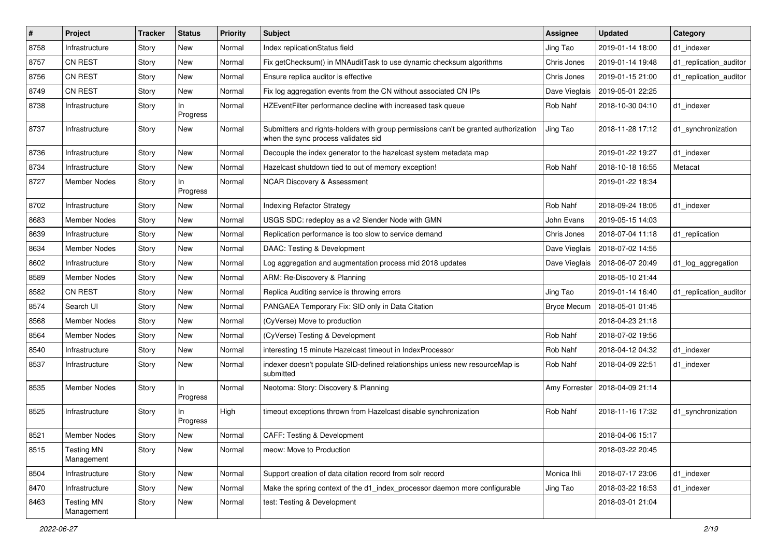| $\#$ | Project                         | <b>Tracker</b> | <b>Status</b>  | <b>Priority</b> | Subject                                                                                                                    | <b>Assignee</b>    | <b>Updated</b>   | Category               |
|------|---------------------------------|----------------|----------------|-----------------|----------------------------------------------------------------------------------------------------------------------------|--------------------|------------------|------------------------|
| 8758 | Infrastructure                  | Story          | New            | Normal          | Index replicationStatus field                                                                                              | Jing Tao           | 2019-01-14 18:00 | d1 indexer             |
| 8757 | CN REST                         | Story          | New            | Normal          | Fix getChecksum() in MNAuditTask to use dynamic checksum algorithms                                                        | Chris Jones        | 2019-01-14 19:48 | d1_replication_auditor |
| 8756 | <b>CN REST</b>                  | Story          | New            | Normal          | Ensure replica auditor is effective                                                                                        | Chris Jones        | 2019-01-15 21:00 | d1_replication_auditor |
| 8749 | CN REST                         | Story          | New            | Normal          | Fix log aggregation events from the CN without associated CN IPs                                                           | Dave Vieglais      | 2019-05-01 22:25 |                        |
| 8738 | Infrastructure                  | Story          | In<br>Progress | Normal          | HZEventFilter performance decline with increased task queue                                                                | Rob Nahf           | 2018-10-30 04:10 | d1 indexer             |
| 8737 | Infrastructure                  | Story          | New            | Normal          | Submitters and rights-holders with group permissions can't be granted authorization<br>when the sync process validates sid | Jing Tao           | 2018-11-28 17:12 | d1_synchronization     |
| 8736 | Infrastructure                  | Story          | <b>New</b>     | Normal          | Decouple the index generator to the hazelcast system metadata map                                                          |                    | 2019-01-22 19:27 | d1_indexer             |
| 8734 | Infrastructure                  | Story          | New            | Normal          | Hazelcast shutdown tied to out of memory exception!                                                                        | Rob Nahf           | 2018-10-18 16:55 | Metacat                |
| 8727 | <b>Member Nodes</b>             | Story          | In<br>Progress | Normal          | <b>NCAR Discovery &amp; Assessment</b>                                                                                     |                    | 2019-01-22 18:34 |                        |
| 8702 | Infrastructure                  | Story          | <b>New</b>     | Normal          | <b>Indexing Refactor Strategy</b>                                                                                          | Rob Nahf           | 2018-09-24 18:05 | d1 indexer             |
| 8683 | <b>Member Nodes</b>             | Story          | New            | Normal          | USGS SDC: redeploy as a v2 Slender Node with GMN                                                                           | John Evans         | 2019-05-15 14:03 |                        |
| 8639 | Infrastructure                  | Story          | New            | Normal          | Replication performance is too slow to service demand                                                                      | Chris Jones        | 2018-07-04 11:18 | d1_replication         |
| 8634 | <b>Member Nodes</b>             | Story          | New            | Normal          | DAAC: Testing & Development                                                                                                | Dave Vieglais      | 2018-07-02 14:55 |                        |
| 8602 | Infrastructure                  | Story          | New            | Normal          | Log aggregation and augmentation process mid 2018 updates                                                                  | Dave Vieglais      | 2018-06-07 20:49 | d1_log_aggregation     |
| 8589 | <b>Member Nodes</b>             | Story          | New            | Normal          | ARM: Re-Discovery & Planning                                                                                               |                    | 2018-05-10 21:44 |                        |
| 8582 | <b>CN REST</b>                  | Story          | New            | Normal          | Replica Auditing service is throwing errors                                                                                | Jing Tao           | 2019-01-14 16:40 | d1_replication_auditor |
| 8574 | Search UI                       | Story          | New            | Normal          | PANGAEA Temporary Fix: SID only in Data Citation                                                                           | <b>Bryce Mecum</b> | 2018-05-01 01:45 |                        |
| 8568 | <b>Member Nodes</b>             | Story          | New            | Normal          | (CyVerse) Move to production                                                                                               |                    | 2018-04-23 21:18 |                        |
| 8564 | Member Nodes                    | Story          | New            | Normal          | (CyVerse) Testing & Development                                                                                            | Rob Nahf           | 2018-07-02 19:56 |                        |
| 8540 | Infrastructure                  | Story          | New            | Normal          | interesting 15 minute Hazelcast timeout in IndexProcessor                                                                  | Rob Nahf           | 2018-04-12 04:32 | d1_indexer             |
| 8537 | Infrastructure                  | Story          | New            | Normal          | indexer doesn't populate SID-defined relationships unless new resourceMap is<br>submitted                                  | Rob Nahf           | 2018-04-09 22:51 | d1 indexer             |
| 8535 | <b>Member Nodes</b>             | Story          | In<br>Progress | Normal          | Neotoma: Story: Discovery & Planning                                                                                       | Amy Forrester      | 2018-04-09 21:14 |                        |
| 8525 | Infrastructure                  | Story          | In<br>Progress | High            | timeout exceptions thrown from Hazelcast disable synchronization                                                           | Rob Nahf           | 2018-11-16 17:32 | d1_synchronization     |
| 8521 | <b>Member Nodes</b>             | Story          | New            | Normal          | CAFF: Testing & Development                                                                                                |                    | 2018-04-06 15:17 |                        |
| 8515 | <b>Testing MN</b><br>Management | Story          | New            | Normal          | meow: Move to Production                                                                                                   |                    | 2018-03-22 20:45 |                        |
| 8504 | Infrastructure                  | Story          | New            | Normal          | Support creation of data citation record from solr record                                                                  | Monica Ihli        | 2018-07-17 23:06 | d1_indexer             |
| 8470 | Infrastructure                  | Story          | New            | Normal          | Make the spring context of the d1_index_processor daemon more configurable                                                 | Jing Tao           | 2018-03-22 16:53 | d1_indexer             |
| 8463 | <b>Testing MN</b><br>Management | Story          | New            | Normal          | test: Testing & Development                                                                                                |                    | 2018-03-01 21:04 |                        |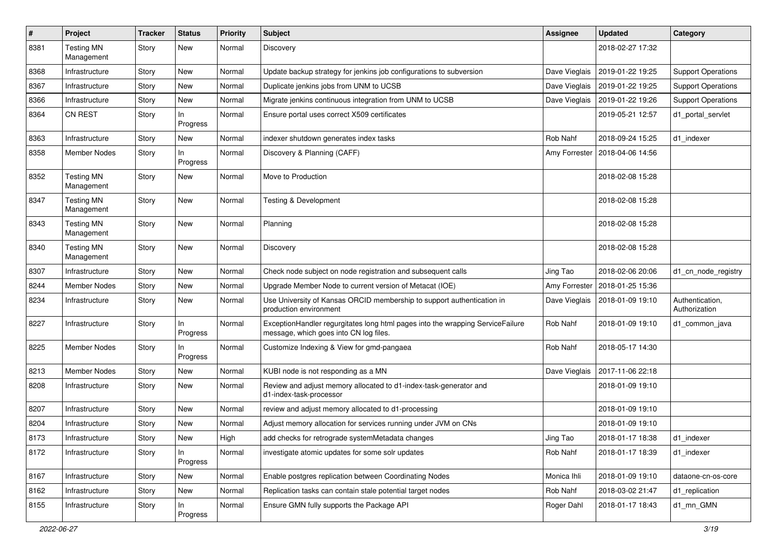| $\pmb{\#}$ | Project                         | Tracker | <b>Status</b>   | <b>Priority</b> | <b>Subject</b>                                                                                                           | <b>Assignee</b> | <b>Updated</b>   | Category                         |
|------------|---------------------------------|---------|-----------------|-----------------|--------------------------------------------------------------------------------------------------------------------------|-----------------|------------------|----------------------------------|
| 8381       | <b>Testing MN</b><br>Management | Story   | New             | Normal          | Discovery                                                                                                                |                 | 2018-02-27 17:32 |                                  |
| 8368       | Infrastructure                  | Story   | New             | Normal          | Update backup strategy for jenkins job configurations to subversion                                                      | Dave Vieglais   | 2019-01-22 19:25 | <b>Support Operations</b>        |
| 8367       | Infrastructure                  | Story   | New             | Normal          | Duplicate jenkins jobs from UNM to UCSB                                                                                  | Dave Vieglais   | 2019-01-22 19:25 | <b>Support Operations</b>        |
| 8366       | Infrastructure                  | Story   | New             | Normal          | Migrate jenkins continuous integration from UNM to UCSB                                                                  | Dave Vieglais   | 2019-01-22 19:26 | <b>Support Operations</b>        |
| 8364       | <b>CN REST</b>                  | Story   | ln.<br>Progress | Normal          | Ensure portal uses correct X509 certificates                                                                             |                 | 2019-05-21 12:57 | d1_portal_servlet                |
| 8363       | Infrastructure                  | Story   | New             | Normal          | indexer shutdown generates index tasks                                                                                   | Rob Nahf        | 2018-09-24 15:25 | d1 indexer                       |
| 8358       | Member Nodes                    | Story   | ln.<br>Progress | Normal          | Discovery & Planning (CAFF)                                                                                              | Amy Forrester   | 2018-04-06 14:56 |                                  |
| 8352       | Testing MN<br>Management        | Story   | New             | Normal          | Move to Production                                                                                                       |                 | 2018-02-08 15:28 |                                  |
| 8347       | <b>Testing MN</b><br>Management | Story   | <b>New</b>      | Normal          | <b>Testing &amp; Development</b>                                                                                         |                 | 2018-02-08 15:28 |                                  |
| 8343       | <b>Testing MN</b><br>Management | Story   | New             | Normal          | Planning                                                                                                                 |                 | 2018-02-08 15:28 |                                  |
| 8340       | <b>Testing MN</b><br>Management | Story   | New             | Normal          | Discovery                                                                                                                |                 | 2018-02-08 15:28 |                                  |
| 8307       | Infrastructure                  | Story   | New             | Normal          | Check node subject on node registration and subsequent calls                                                             | Jing Tao        | 2018-02-06 20:06 | d1 cn node registry              |
| 8244       | Member Nodes                    | Story   | New             | Normal          | Upgrade Member Node to current version of Metacat (IOE)                                                                  | Amy Forrester   | 2018-01-25 15:36 |                                  |
| 8234       | Infrastructure                  | Story   | New             | Normal          | Use University of Kansas ORCID membership to support authentication in<br>production environment                         | Dave Vieglais   | 2018-01-09 19:10 | Authentication,<br>Authorization |
| 8227       | Infrastructure                  | Story   | In.<br>Progress | Normal          | ExceptionHandler regurgitates long html pages into the wrapping ServiceFailure<br>message, which goes into CN log files. | Rob Nahf        | 2018-01-09 19:10 | d1_common_java                   |
| 8225       | Member Nodes                    | Story   | In<br>Progress  | Normal          | Customize Indexing & View for gmd-pangaea                                                                                | Rob Nahf        | 2018-05-17 14:30 |                                  |
| 8213       | Member Nodes                    | Story   | New             | Normal          | KUBI node is not responding as a MN                                                                                      | Dave Vieglais   | 2017-11-06 22:18 |                                  |
| 8208       | Infrastructure                  | Story   | New             | Normal          | Review and adjust memory allocated to d1-index-task-generator and<br>d1-index-task-processor                             |                 | 2018-01-09 19:10 |                                  |
| 8207       | Infrastructure                  | Story   | New             | Normal          | review and adjust memory allocated to d1-processing                                                                      |                 | 2018-01-09 19:10 |                                  |
| 8204       | Infrastructure                  | Story   | New             | Normal          | Adjust memory allocation for services running under JVM on CNs                                                           |                 | 2018-01-09 19:10 |                                  |
| 8173       | Infrastructure                  | Story   | New             | High            | add checks for retrograde systemMetadata changes                                                                         | Jing Tao        | 2018-01-17 18:38 | d1_indexer                       |
| 8172       | Infrastructure                  | Story   | In<br>Progress  | Normal          | investigate atomic updates for some solr updates                                                                         | Rob Nahf        | 2018-01-17 18:39 | d1 indexer                       |
| 8167       | Infrastructure                  | Story   | New             | Normal          | Enable postgres replication between Coordinating Nodes                                                                   | Monica Ihli     | 2018-01-09 19:10 | dataone-cn-os-core               |
| 8162       | Infrastructure                  | Story   | New             | Normal          | Replication tasks can contain stale potential target nodes                                                               | Rob Nahf        | 2018-03-02 21:47 | d1_replication                   |
| 8155       | Infrastructure                  | Story   | In<br>Progress  | Normal          | Ensure GMN fully supports the Package API                                                                                | Roger Dahl      | 2018-01-17 18:43 | d1_mn_GMN                        |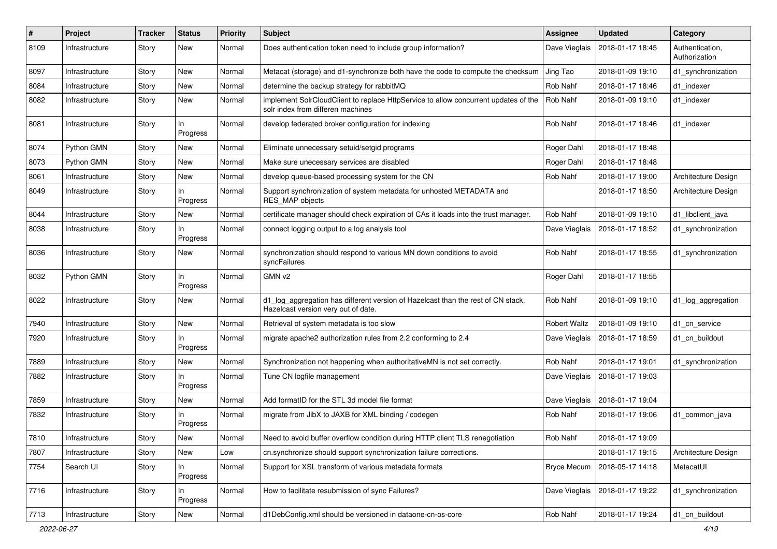| #    | Project        | <b>Tracker</b> | <b>Status</b>   | <b>Priority</b> | <b>Subject</b>                                                                                                           | <b>Assignee</b>    | <b>Updated</b>   | Category                         |
|------|----------------|----------------|-----------------|-----------------|--------------------------------------------------------------------------------------------------------------------------|--------------------|------------------|----------------------------------|
| 8109 | Infrastructure | Story          | New             | Normal          | Does authentication token need to include group information?                                                             | Dave Vieglais      | 2018-01-17 18:45 | Authentication,<br>Authorization |
| 8097 | Infrastructure | Story          | New             | Normal          | Metacat (storage) and d1-synchronize both have the code to compute the checksum                                          | Jing Tao           | 2018-01-09 19:10 | d1 synchronization               |
| 8084 | Infrastructure | Story          | New             | Normal          | determine the backup strategy for rabbitMQ                                                                               | Rob Nahf           | 2018-01-17 18:46 | d1 indexer                       |
| 8082 | Infrastructure | Story          | New             | Normal          | implement SolrCloudClient to replace HttpService to allow concurrent updates of the<br>solr index from differen machines | Rob Nahf           | 2018-01-09 19:10 | d1 indexer                       |
| 8081 | Infrastructure | Story          | In<br>Progress  | Normal          | develop federated broker configuration for indexing                                                                      | Rob Nahf           | 2018-01-17 18:46 | d1_indexer                       |
| 8074 | Python GMN     | Story          | New             | Normal          | Eliminate unnecessary setuid/setgid programs                                                                             | Roger Dahl         | 2018-01-17 18:48 |                                  |
| 8073 | Python GMN     | Story          | New             | Normal          | Make sure unecessary services are disabled                                                                               | Roger Dahl         | 2018-01-17 18:48 |                                  |
| 8061 | Infrastructure | Story          | New             | Normal          | develop queue-based processing system for the CN                                                                         | Rob Nahf           | 2018-01-17 19:00 | Architecture Design              |
| 8049 | Infrastructure | Story          | ln.<br>Progress | Normal          | Support synchronization of system metadata for unhosted METADATA and<br>RES_MAP objects                                  |                    | 2018-01-17 18:50 | Architecture Design              |
| 8044 | Infrastructure | Story          | New             | Normal          | certificate manager should check expiration of CAs it loads into the trust manager.                                      | Rob Nahf           | 2018-01-09 19:10 | d1 libclient java                |
| 8038 | Infrastructure | Story          | In<br>Progress  | Normal          | connect logging output to a log analysis tool                                                                            | Dave Vieglais      | 2018-01-17 18:52 | d1_synchronization               |
| 8036 | Infrastructure | Story          | New             | Normal          | synchronization should respond to various MN down conditions to avoid<br>syncFailures                                    | Rob Nahf           | 2018-01-17 18:55 | d1_synchronization               |
| 8032 | Python GMN     | Story          | In<br>Progress  | Normal          | GMN v2                                                                                                                   | Roger Dahl         | 2018-01-17 18:55 |                                  |
| 8022 | Infrastructure | Story          | New             | Normal          | d1_log_aggregation has different version of Hazelcast than the rest of CN stack.<br>Hazelcast version very out of date.  | Rob Nahf           | 2018-01-09 19:10 | d1_log_aggregation               |
| 7940 | Infrastructure | Story          | New             | Normal          | Retrieval of system metadata is too slow                                                                                 | Robert Waltz       | 2018-01-09 19:10 | d1 cn service                    |
| 7920 | Infrastructure | Story          | In<br>Progress  | Normal          | migrate apache2 authorization rules from 2.2 conforming to 2.4                                                           | Dave Vieglais      | 2018-01-17 18:59 | d1 cn buildout                   |
| 7889 | Infrastructure | Story          | New             | Normal          | Synchronization not happening when authoritativeMN is not set correctly.                                                 | Rob Nahf           | 2018-01-17 19:01 | d1_synchronization               |
| 7882 | Infrastructure | Story          | ln.<br>Progress | Normal          | Tune CN logfile management                                                                                               | Dave Vieglais      | 2018-01-17 19:03 |                                  |
| 7859 | Infrastructure | Story          | New             | Normal          | Add formatID for the STL 3d model file format                                                                            | Dave Vieglais      | 2018-01-17 19:04 |                                  |
| 7832 | Infrastructure | Story          | In<br>Progress  | Normal          | migrate from JibX to JAXB for XML binding / codegen                                                                      | Rob Nahf           | 2018-01-17 19:06 | d1_common_java                   |
| 7810 | Infrastructure | Story          | New             | Normal          | Need to avoid buffer overflow condition during HTTP client TLS renegotiation                                             | Rob Nahf           | 2018-01-17 19:09 |                                  |
| 7807 | Infrastructure | Story          | New             | Low             | cn.synchronize should support synchronization failure corrections.                                                       |                    | 2018-01-17 19:15 | Architecture Design              |
| 7754 | Search UI      | Story          | In<br>Progress  | Normal          | Support for XSL transform of various metadata formats                                                                    | <b>Bryce Mecum</b> | 2018-05-17 14:18 | MetacatUI                        |
| 7716 | Infrastructure | Story          | In<br>Progress  | Normal          | How to facilitate resubmission of sync Failures?                                                                         | Dave Vieglais      | 2018-01-17 19:22 | d1_synchronization               |
| 7713 | Infrastructure | Story          | New             | Normal          | d1DebConfig.xml should be versioned in dataone-cn-os-core                                                                | Rob Nahf           | 2018-01-17 19:24 | d1_cn_buildout                   |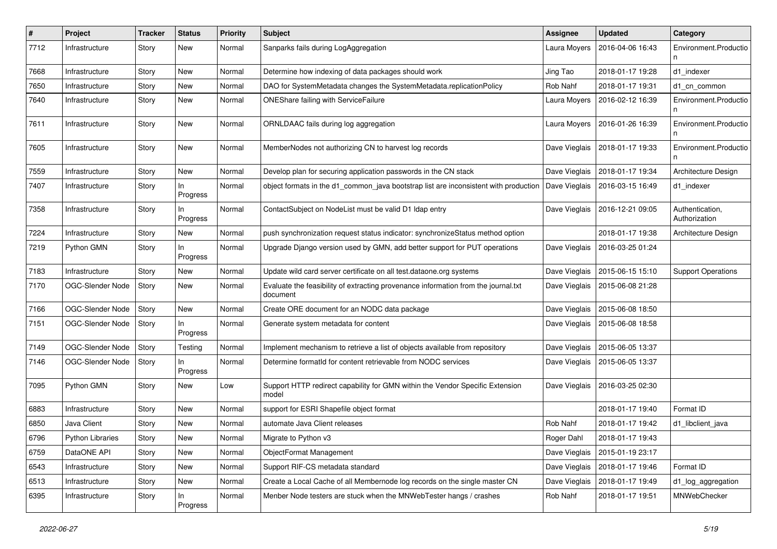| #    | Project          | <b>Tracker</b> | <b>Status</b>   | <b>Priority</b> | Subject                                                                                        | Assignee      | <b>Updated</b>   | Category                         |
|------|------------------|----------------|-----------------|-----------------|------------------------------------------------------------------------------------------------|---------------|------------------|----------------------------------|
| 7712 | Infrastructure   | Story          | New             | Normal          | Sanparks fails during LogAggregation                                                           | Laura Moyers  | 2016-04-06 16:43 | Environment.Productio            |
| 7668 | Infrastructure   | Story          | New             | Normal          | Determine how indexing of data packages should work                                            | Jing Tao      | 2018-01-17 19:28 | d1 indexer                       |
| 7650 | Infrastructure   | Story          | New             | Normal          | DAO for SystemMetadata changes the SystemMetadata.replicationPolicy                            | Rob Nahf      | 2018-01-17 19:31 | d1_cn_common                     |
| 7640 | Infrastructure   | Story          | New             | Normal          | ONEShare failing with ServiceFailure                                                           | Laura Moyers  | 2016-02-12 16:39 | Environment.Productio            |
| 7611 | Infrastructure   | Story          | New             | Normal          | ORNLDAAC fails during log aggregation                                                          | Laura Moyers  | 2016-01-26 16:39 | Environment.Productio            |
| 7605 | Infrastructure   | Story          | New             | Normal          | MemberNodes not authorizing CN to harvest log records                                          | Dave Vieglais | 2018-01-17 19:33 | Environment.Productio            |
| 7559 | Infrastructure   | Story          | New             | Normal          | Develop plan for securing application passwords in the CN stack                                | Dave Vieglais | 2018-01-17 19:34 | Architecture Design              |
| 7407 | Infrastructure   | Story          | ln.<br>Progress | Normal          | object formats in the d1_common_java bootstrap list are inconsistent with production           | Dave Vieglais | 2016-03-15 16:49 | d1 indexer                       |
| 7358 | Infrastructure   | Story          | In.<br>Progress | Normal          | ContactSubject on NodeList must be valid D1 Idap entry                                         | Dave Vieglais | 2016-12-21 09:05 | Authentication,<br>Authorization |
| 7224 | Infrastructure   | Story          | New             | Normal          | push synchronization request status indicator: synchronizeStatus method option                 |               | 2018-01-17 19:38 | Architecture Design              |
| 7219 | Python GMN       | Story          | In<br>Progress  | Normal          | Upgrade Django version used by GMN, add better support for PUT operations                      | Dave Vieglais | 2016-03-25 01:24 |                                  |
| 7183 | Infrastructure   | Story          | New             | Normal          | Update wild card server certificate on all test dataone org systems                            | Dave Vieglais | 2015-06-15 15:10 | <b>Support Operations</b>        |
| 7170 | OGC-Slender Node | Story          | New             | Normal          | Evaluate the feasibility of extracting provenance information from the journal.txt<br>document | Dave Vieglais | 2015-06-08 21:28 |                                  |
| 7166 | OGC-Slender Node | Story          | New             | Normal          | Create ORE document for an NODC data package                                                   | Dave Vieglais | 2015-06-08 18:50 |                                  |
| 7151 | OGC-Slender Node | Story          | ln.<br>Progress | Normal          | Generate system metadata for content                                                           | Dave Vieglais | 2015-06-08 18:58 |                                  |
| 7149 | OGC-Slender Node | Story          | Testing         | Normal          | Implement mechanism to retrieve a list of objects available from repository                    | Dave Vieglais | 2015-06-05 13:37 |                                  |
| 7146 | OGC-Slender Node | Story          | ln.<br>Progress | Normal          | Determine formatId for content retrievable from NODC services                                  | Dave Vieglais | 2015-06-05 13:37 |                                  |
| 7095 | Python GMN       | Story          | New             | Low             | Support HTTP redirect capability for GMN within the Vendor Specific Extension<br>model         | Dave Vieglais | 2016-03-25 02:30 |                                  |
| 6883 | Infrastructure   | Story          | New             | Normal          | support for ESRI Shapefile object format                                                       |               | 2018-01-17 19:40 | Format ID                        |
| 6850 | Java Client      | Story          | New             | Normal          | automate Java Client releases                                                                  | Rob Nahf      | 2018-01-17 19:42 | d1_libclient_java                |
| 6796 | Python Libraries | Story          | New             | Normal          | Migrate to Python v3                                                                           | Roger Dahl    | 2018-01-17 19:43 |                                  |
| 6759 | DataONE API      | Story          | New             | Normal          | ObjectFormat Management                                                                        | Dave Vieglais | 2015-01-19 23:17 |                                  |
| 6543 | Infrastructure   | Story          | New             | Normal          | Support RIF-CS metadata standard                                                               | Dave Vieglais | 2018-01-17 19:46 | Format ID                        |
| 6513 | Infrastructure   | Story          | New             | Normal          | Create a Local Cache of all Membernode log records on the single master CN                     | Dave Vieglais | 2018-01-17 19:49 | d1_log_aggregation               |
| 6395 | Infrastructure   | Story          | In<br>Progress  | Normal          | Menber Node testers are stuck when the MNWebTester hangs / crashes                             | Rob Nahf      | 2018-01-17 19:51 | MNWebChecker                     |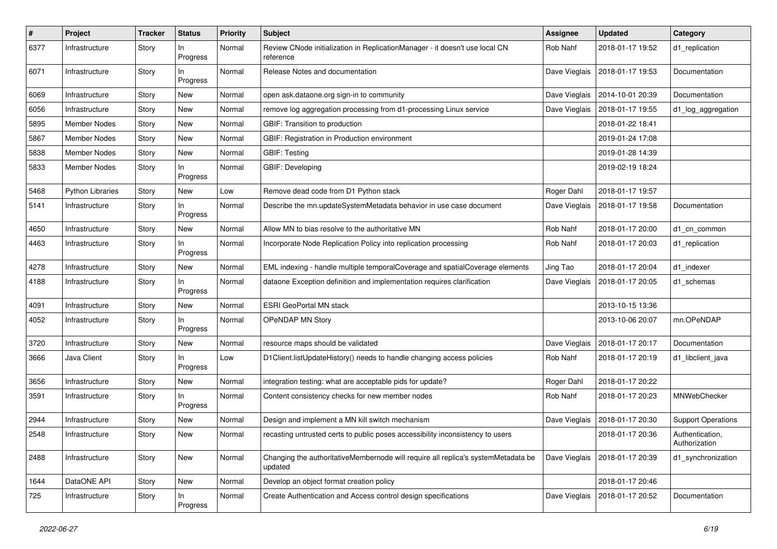| $\#$ | Project                 | <b>Tracker</b> | <b>Status</b>   | <b>Priority</b> | <b>Subject</b>                                                                               | <b>Assignee</b> | <b>Updated</b>   | Category                         |
|------|-------------------------|----------------|-----------------|-----------------|----------------------------------------------------------------------------------------------|-----------------|------------------|----------------------------------|
| 6377 | Infrastructure          | Story          | In.<br>Progress | Normal          | Review CNode initialization in ReplicationManager - it doesn't use local CN<br>reference     | Rob Nahf        | 2018-01-17 19:52 | d1_replication                   |
| 6071 | Infrastructure          | Story          | In<br>Progress  | Normal          | Release Notes and documentation                                                              | Dave Vieglais   | 2018-01-17 19:53 | Documentation                    |
| 6069 | Infrastructure          | Story          | New             | Normal          | open ask.dataone.org sign-in to community                                                    | Dave Vieglais   | 2014-10-01 20:39 | Documentation                    |
| 6056 | Infrastructure          | Story          | New             | Normal          | remove log aggregation processing from d1-processing Linux service                           | Dave Vieglais   | 2018-01-17 19:55 | d1_log_aggregation               |
| 5895 | Member Nodes            | Story          | New             | Normal          | GBIF: Transition to production                                                               |                 | 2018-01-22 18:41 |                                  |
| 5867 | Member Nodes            | Story          | New             | Normal          | GBIF: Registration in Production environment                                                 |                 | 2019-01-24 17:08 |                                  |
| 5838 | Member Nodes            | Story          | New             | Normal          | <b>GBIF: Testing</b>                                                                         |                 | 2019-01-28 14:39 |                                  |
| 5833 | Member Nodes            | Story          | ln.<br>Progress | Normal          | GBIF: Developing                                                                             |                 | 2019-02-19 18:24 |                                  |
| 5468 | <b>Python Libraries</b> | Story          | New             | Low             | Remove dead code from D1 Python stack                                                        | Roger Dahl      | 2018-01-17 19:57 |                                  |
| 5141 | Infrastructure          | Story          | ln.<br>Progress | Normal          | Describe the mn.updateSystemMetadata behavior in use case document                           | Dave Vieglais   | 2018-01-17 19:58 | Documentation                    |
| 4650 | Infrastructure          | Story          | New             | Normal          | Allow MN to bias resolve to the authoritative MN                                             | Rob Nahf        | 2018-01-17 20:00 | d1_cn_common                     |
| 4463 | Infrastructure          | Story          | ln.<br>Progress | Normal          | Incorporate Node Replication Policy into replication processing                              | Rob Nahf        | 2018-01-17 20:03 | d1_replication                   |
| 4278 | Infrastructure          | Story          | New             | Normal          | EML indexing - handle multiple temporalCoverage and spatialCoverage elements                 | Jing Tao        | 2018-01-17 20:04 | d1_indexer                       |
| 4188 | Infrastructure          | Story          | In<br>Progress  | Normal          | dataone Exception definition and implementation requires clarification                       | Dave Vieglais   | 2018-01-17 20:05 | d1 schemas                       |
| 4091 | Infrastructure          | Story          | New             | Normal          | <b>ESRI GeoPortal MN stack</b>                                                               |                 | 2013-10-15 13:36 |                                  |
| 4052 | Infrastructure          | Story          | In<br>Progress  | Normal          | OPeNDAP MN Story                                                                             |                 | 2013-10-06 20:07 | mn.OPeNDAP                       |
| 3720 | Infrastructure          | Story          | New             | Normal          | resource maps should be validated                                                            | Dave Vieglais   | 2018-01-17 20:17 | Documentation                    |
| 3666 | Java Client             | Story          | In.<br>Progress | Low             | D1Client.listUpdateHistory() needs to handle changing access policies                        | Rob Nahf        | 2018-01-17 20:19 | d1_libclient_java                |
| 3656 | Infrastructure          | Story          | New             | Normal          | integration testing: what are acceptable pids for update?                                    | Roger Dahl      | 2018-01-17 20:22 |                                  |
| 3591 | Infrastructure          | Story          | In<br>Progress  | Normal          | Content consistency checks for new member nodes                                              | Rob Nahf        | 2018-01-17 20:23 | MNWebChecker                     |
| 2944 | Infrastructure          | Story          | New             | Normal          | Design and implement a MN kill switch mechanism                                              | Dave Vieglais   | 2018-01-17 20:30 | <b>Support Operations</b>        |
| 2548 | Infrastructure          | Story          | New             | Normal          | recasting untrusted certs to public poses accessibility inconsistency to users               |                 | 2018-01-17 20:36 | Authentication,<br>Authorization |
| 2488 | Infrastructure          | Story          | New             | Normal          | Changing the authoritativeMembernode will require all replica's systemMetadata be<br>updated | Dave Vieglais   | 2018-01-17 20:39 | d1_synchronization               |
| 1644 | DataONE API             | Story          | New             | Normal          | Develop an object format creation policy                                                     |                 | 2018-01-17 20:46 |                                  |
| 725  | Infrastructure          | Story          | In<br>Progress  | Normal          | Create Authentication and Access control design specifications                               | Dave Vieglais   | 2018-01-17 20:52 | Documentation                    |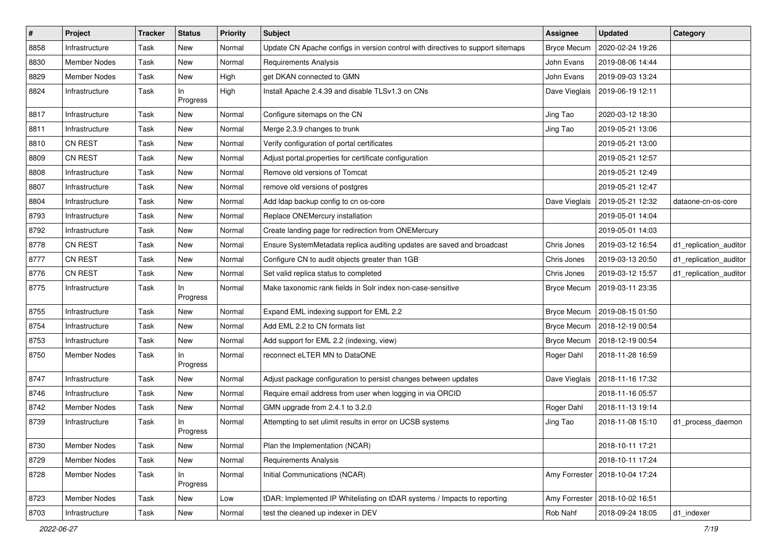| $\vert$ # | Project             | <b>Tracker</b> | <b>Status</b>   | <b>Priority</b> | Subject                                                                         | <b>Assignee</b>    | <b>Updated</b>   | Category               |
|-----------|---------------------|----------------|-----------------|-----------------|---------------------------------------------------------------------------------|--------------------|------------------|------------------------|
| 8858      | Infrastructure      | Task           | New             | Normal          | Update CN Apache configs in version control with directives to support sitemaps | <b>Bryce Mecum</b> | 2020-02-24 19:26 |                        |
| 8830      | <b>Member Nodes</b> | Task           | New             | Normal          | <b>Requirements Analysis</b>                                                    | John Evans         | 2019-08-06 14:44 |                        |
| 8829      | <b>Member Nodes</b> | Task           | New             | High            | get DKAN connected to GMN                                                       | John Evans         | 2019-09-03 13:24 |                        |
| 8824      | Infrastructure      | Task           | In<br>Progress  | High            | Install Apache 2.4.39 and disable TLSv1.3 on CNs                                | Dave Vieglais      | 2019-06-19 12:11 |                        |
| 8817      | Infrastructure      | Task           | New             | Normal          | Configure sitemaps on the CN                                                    | Jing Tao           | 2020-03-12 18:30 |                        |
| 8811      | Infrastructure      | Task           | New             | Normal          | Merge 2.3.9 changes to trunk                                                    | Jing Tao           | 2019-05-21 13:06 |                        |
| 8810      | <b>CN REST</b>      | Task           | New             | Normal          | Verify configuration of portal certificates                                     |                    | 2019-05-21 13:00 |                        |
| 8809      | <b>CN REST</b>      | Task           | New             | Normal          | Adjust portal properties for certificate configuration                          |                    | 2019-05-21 12:57 |                        |
| 8808      | Infrastructure      | Task           | New             | Normal          | Remove old versions of Tomcat                                                   |                    | 2019-05-21 12:49 |                        |
| 8807      | Infrastructure      | Task           | New             | Normal          | remove old versions of postgres                                                 |                    | 2019-05-21 12:47 |                        |
| 8804      | Infrastructure      | Task           | New             | Normal          | Add Idap backup config to cn os-core                                            | Dave Vieglais      | 2019-05-21 12:32 | dataone-cn-os-core     |
| 8793      | Infrastructure      | Task           | New             | Normal          | Replace ONEMercury installation                                                 |                    | 2019-05-01 14:04 |                        |
| 8792      | Infrastructure      | Task           | New             | Normal          | Create landing page for redirection from ONEMercury                             |                    | 2019-05-01 14:03 |                        |
| 8778      | <b>CN REST</b>      | Task           | New             | Normal          | Ensure SystemMetadata replica auditing updates are saved and broadcast          | Chris Jones        | 2019-03-12 16:54 | d1_replication_auditor |
| 8777      | <b>CN REST</b>      | Task           | New             | Normal          | Configure CN to audit objects greater than 1GB                                  | Chris Jones        | 2019-03-13 20:50 | d1_replication_auditor |
| 8776      | <b>CN REST</b>      | Task           | New             | Normal          | Set valid replica status to completed                                           | Chris Jones        | 2019-03-12 15:57 | d1_replication_auditor |
| 8775      | Infrastructure      | Task           | In<br>Progress  | Normal          | Make taxonomic rank fields in Solr index non-case-sensitive                     | <b>Bryce Mecum</b> | 2019-03-11 23:35 |                        |
| 8755      | Infrastructure      | Task           | New             | Normal          | Expand EML indexing support for EML 2.2                                         | <b>Bryce Mecum</b> | 2019-08-15 01:50 |                        |
| 8754      | Infrastructure      | Task           | New             | Normal          | Add EML 2.2 to CN formats list                                                  | <b>Bryce Mecum</b> | 2018-12-19 00:54 |                        |
| 8753      | Infrastructure      | Task           | New             | Normal          | Add support for EML 2.2 (indexing, view)                                        | <b>Bryce Mecum</b> | 2018-12-19 00:54 |                        |
| 8750      | <b>Member Nodes</b> | Task           | In<br>Progress  | Normal          | reconnect eLTER MN to DataONE                                                   | Roger Dahl         | 2018-11-28 16:59 |                        |
| 8747      | Infrastructure      | Task           | New             | Normal          | Adjust package configuration to persist changes between updates                 | Dave Vieglais      | 2018-11-16 17:32 |                        |
| 8746      | Infrastructure      | Task           | New             | Normal          | Require email address from user when logging in via ORCID                       |                    | 2018-11-16 05:57 |                        |
| 8742      | <b>Member Nodes</b> | Task           | New             | Normal          | GMN upgrade from 2.4.1 to 3.2.0                                                 | Roger Dahl         | 2018-11-13 19:14 |                        |
| 8739      | Infrastructure      | Task           | ln.<br>Progress | Normal          | Attempting to set ulimit results in error on UCSB systems                       | Jing Tao           | 2018-11-08 15:10 | d1_process_daemon      |
| 8730      | Member Nodes        | Task           | New             | Normal          | Plan the Implementation (NCAR)                                                  |                    | 2018-10-11 17:21 |                        |
| 8729      | Member Nodes        | Task           | New             | Normal          | <b>Requirements Analysis</b>                                                    |                    | 2018-10-11 17:24 |                        |
| 8728      | Member Nodes        | Task           | In<br>Progress  | Normal          | Initial Communications (NCAR)                                                   | Amy Forrester      | 2018-10-04 17:24 |                        |
| 8723      | Member Nodes        | Task           | New             | Low             | tDAR: Implemented IP Whitelisting on tDAR systems / Impacts to reporting        | Amy Forrester      | 2018-10-02 16:51 |                        |
| 8703      | Infrastructure      | Task           | New             | Normal          | test the cleaned up indexer in DEV                                              | Rob Nahf           | 2018-09-24 18:05 | d1_indexer             |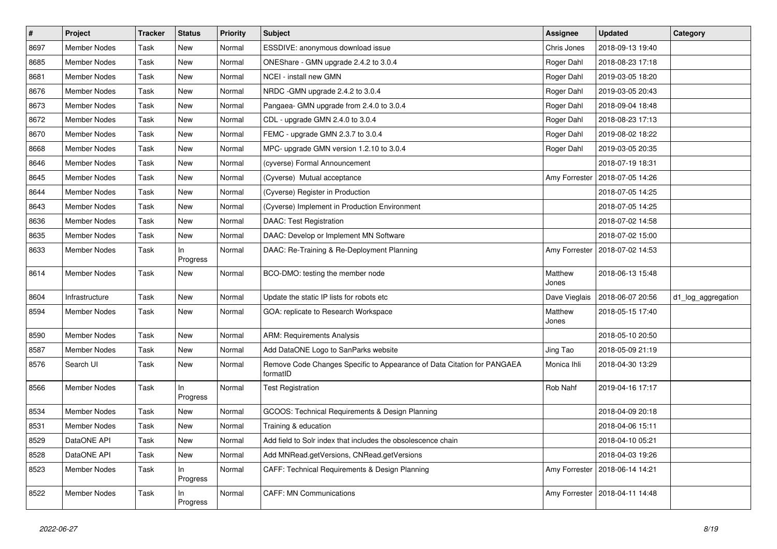| $\vert$ # | Project             | <b>Tracker</b> | <b>Status</b>   | <b>Priority</b> | <b>Subject</b>                                                                      | <b>Assignee</b>  | <b>Updated</b>                   | Category           |
|-----------|---------------------|----------------|-----------------|-----------------|-------------------------------------------------------------------------------------|------------------|----------------------------------|--------------------|
| 8697      | Member Nodes        | Task           | New             | Normal          | ESSDIVE: anonymous download issue                                                   | Chris Jones      | 2018-09-13 19:40                 |                    |
| 8685      | Member Nodes        | Task           | New             | Normal          | ONEShare - GMN upgrade 2.4.2 to 3.0.4                                               | Roger Dahl       | 2018-08-23 17:18                 |                    |
| 8681      | <b>Member Nodes</b> | Task           | New             | Normal          | NCEI - install new GMN                                                              | Roger Dahl       | 2019-03-05 18:20                 |                    |
| 8676      | <b>Member Nodes</b> | Task           | New             | Normal          | NRDC - GMN upgrade 2.4.2 to 3.0.4                                                   | Roger Dahl       | 2019-03-05 20:43                 |                    |
| 8673      | <b>Member Nodes</b> | Task           | New             | Normal          | Pangaea- GMN upgrade from 2.4.0 to 3.0.4                                            | Roger Dahl       | 2018-09-04 18:48                 |                    |
| 8672      | <b>Member Nodes</b> | Task           | New             | Normal          | CDL - upgrade GMN 2.4.0 to 3.0.4                                                    | Roger Dahl       | 2018-08-23 17:13                 |                    |
| 8670      | <b>Member Nodes</b> | Task           | New             | Normal          | FEMC - upgrade GMN 2.3.7 to 3.0.4                                                   | Roger Dahl       | 2019-08-02 18:22                 |                    |
| 8668      | <b>Member Nodes</b> | Task           | New             | Normal          | MPC- upgrade GMN version 1.2.10 to 3.0.4                                            | Roger Dahl       | 2019-03-05 20:35                 |                    |
| 8646      | <b>Member Nodes</b> | Task           | New             | Normal          | (cyverse) Formal Announcement                                                       |                  | 2018-07-19 18:31                 |                    |
| 8645      | <b>Member Nodes</b> | Task           | New             | Normal          | (Cyverse) Mutual acceptance                                                         | Amy Forrester    | 2018-07-05 14:26                 |                    |
| 8644      | <b>Member Nodes</b> | Task           | New             | Normal          | (Cyverse) Register in Production                                                    |                  | 2018-07-05 14:25                 |                    |
| 8643      | <b>Member Nodes</b> | Task           | New             | Normal          | (Cyverse) Implement in Production Environment                                       |                  | 2018-07-05 14:25                 |                    |
| 8636      | <b>Member Nodes</b> | Task           | New             | Normal          | <b>DAAC: Test Registration</b>                                                      |                  | 2018-07-02 14:58                 |                    |
| 8635      | <b>Member Nodes</b> | Task           | New             | Normal          | DAAC: Develop or Implement MN Software                                              |                  | 2018-07-02 15:00                 |                    |
| 8633      | <b>Member Nodes</b> | Task           | In<br>Progress  | Normal          | DAAC: Re-Training & Re-Deployment Planning                                          | Amy Forrester    | 2018-07-02 14:53                 |                    |
| 8614      | <b>Member Nodes</b> | Task           | New             | Normal          | BCO-DMO: testing the member node                                                    | Matthew<br>Jones | 2018-06-13 15:48                 |                    |
| 8604      | Infrastructure      | Task           | New             | Normal          | Update the static IP lists for robots etc                                           | Dave Vieglais    | 2018-06-07 20:56                 | d1_log_aggregation |
| 8594      | Member Nodes        | Task           | New             | Normal          | GOA: replicate to Research Workspace                                                | Matthew<br>Jones | 2018-05-15 17:40                 |                    |
| 8590      | <b>Member Nodes</b> | Task           | <b>New</b>      | Normal          | <b>ARM: Requirements Analysis</b>                                                   |                  | 2018-05-10 20:50                 |                    |
| 8587      | <b>Member Nodes</b> | Task           | New             | Normal          | Add DataONE Logo to SanParks website                                                | Jing Tao         | 2018-05-09 21:19                 |                    |
| 8576      | Search UI           | Task           | New             | Normal          | Remove Code Changes Specific to Appearance of Data Citation for PANGAEA<br>formatID | Monica Ihli      | 2018-04-30 13:29                 |                    |
| 8566      | Member Nodes        | Task           | In.<br>Progress | Normal          | Test Registration                                                                   | Rob Nahf         | 2019-04-16 17:17                 |                    |
| 8534      | <b>Member Nodes</b> | Task           | <b>New</b>      | Normal          | GCOOS: Technical Requirements & Design Planning                                     |                  | 2018-04-09 20:18                 |                    |
| 8531      | <b>Member Nodes</b> | Task           | New             | Normal          | Training & education                                                                |                  | 2018-04-06 15:11                 |                    |
| 8529      | DataONE API         | Task           | New             | Normal          | Add field to Solr index that includes the obsolescence chain                        |                  | 2018-04-10 05:21                 |                    |
| 8528      | DataONE API         | <b>Task</b>    | New             | Normal          | Add MNRead.getVersions, CNRead.getVersions                                          |                  | 2018-04-03 19:26                 |                    |
| 8523      | <b>Member Nodes</b> | Task           | In<br>Progress  | Normal          | CAFF: Technical Requirements & Design Planning                                      |                  | Amy Forrester   2018-06-14 14:21 |                    |
| 8522      | <b>Member Nodes</b> | Task           | In.<br>Progress | Normal          | <b>CAFF: MN Communications</b>                                                      | Amy Forrester    | 2018-04-11 14:48                 |                    |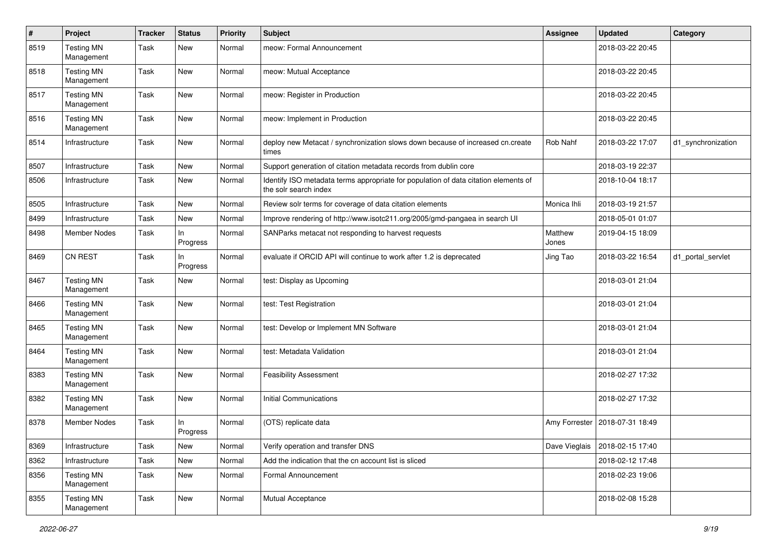| #    | Project                         | <b>Tracker</b> | <b>Status</b>   | <b>Priority</b> | <b>Subject</b>                                                                                               | <b>Assignee</b>  | <b>Updated</b>                   | Category           |
|------|---------------------------------|----------------|-----------------|-----------------|--------------------------------------------------------------------------------------------------------------|------------------|----------------------------------|--------------------|
| 8519 | <b>Testing MN</b><br>Management | Task           | New             | Normal          | meow: Formal Announcement                                                                                    |                  | 2018-03-22 20:45                 |                    |
| 8518 | <b>Testing MN</b><br>Management | Task           | New             | Normal          | meow: Mutual Acceptance                                                                                      |                  | 2018-03-22 20:45                 |                    |
| 8517 | <b>Testing MN</b><br>Management | Task           | New             | Normal          | meow: Register in Production                                                                                 |                  | 2018-03-22 20:45                 |                    |
| 8516 | <b>Testing MN</b><br>Management | Task           | New             | Normal          | meow: Implement in Production                                                                                |                  | 2018-03-22 20:45                 |                    |
| 8514 | Infrastructure                  | Task           | New             | Normal          | deploy new Metacat / synchronization slows down because of increased cn.create<br>times                      | Rob Nahf         | 2018-03-22 17:07                 | d1_synchronization |
| 8507 | Infrastructure                  | Task           | New             | Normal          | Support generation of citation metadata records from dublin core                                             |                  | 2018-03-19 22:37                 |                    |
| 8506 | Infrastructure                  | Task           | New             | Normal          | Identify ISO metadata terms appropriate for population of data citation elements of<br>the solr search index |                  | 2018-10-04 18:17                 |                    |
| 8505 | Infrastructure                  | Task           | New             | Normal          | Review solr terms for coverage of data citation elements                                                     | Monica Ihli      | 2018-03-19 21:57                 |                    |
| 8499 | Infrastructure                  | Task           | <b>New</b>      | Normal          | Improve rendering of http://www.isotc211.org/2005/gmd-pangaea in search UI                                   |                  | 2018-05-01 01:07                 |                    |
| 8498 | <b>Member Nodes</b>             | Task           | In<br>Progress  | Normal          | SANParks metacat not responding to harvest requests                                                          | Matthew<br>Jones | 2019-04-15 18:09                 |                    |
| 8469 | CN REST                         | Task           | ln.<br>Progress | Normal          | evaluate if ORCID API will continue to work after 1.2 is deprecated                                          | Jing Tao         | 2018-03-22 16:54                 | d1 portal servlet  |
| 8467 | <b>Testing MN</b><br>Management | Task           | New             | Normal          | test: Display as Upcoming                                                                                    |                  | 2018-03-01 21:04                 |                    |
| 8466 | <b>Testing MN</b><br>Management | Task           | New             | Normal          | test: Test Registration                                                                                      |                  | 2018-03-01 21:04                 |                    |
| 8465 | <b>Testing MN</b><br>Management | Task           | New             | Normal          | test: Develop or Implement MN Software                                                                       |                  | 2018-03-01 21:04                 |                    |
| 8464 | <b>Testing MN</b><br>Management | Task           | New             | Normal          | test: Metadata Validation                                                                                    |                  | 2018-03-01 21:04                 |                    |
| 8383 | <b>Testing MN</b><br>Management | Task           | New             | Normal          | <b>Feasibility Assessment</b>                                                                                |                  | 2018-02-27 17:32                 |                    |
| 8382 | <b>Testing MN</b><br>Management | Task           | New             | Normal          | <b>Initial Communications</b>                                                                                |                  | 2018-02-27 17:32                 |                    |
| 8378 | <b>Member Nodes</b>             | Task           | ln.<br>Progress | Normal          | (OTS) replicate data                                                                                         | Amy Forrester    | 2018-07-31 18:49                 |                    |
| 8369 | Infrastructure                  | Task           | New             | Normal          | Verify operation and transfer DNS                                                                            |                  | Dave Vieglais   2018-02-15 17:40 |                    |
| 8362 | Infrastructure                  | Task           | New             | Normal          | Add the indication that the cn account list is sliced                                                        |                  | 2018-02-12 17:48                 |                    |
| 8356 | <b>Testing MN</b><br>Management | Task           | New             | Normal          | Formal Announcement                                                                                          |                  | 2018-02-23 19:06                 |                    |
| 8355 | <b>Testing MN</b><br>Management | Task           | New             | Normal          | Mutual Acceptance                                                                                            |                  | 2018-02-08 15:28                 |                    |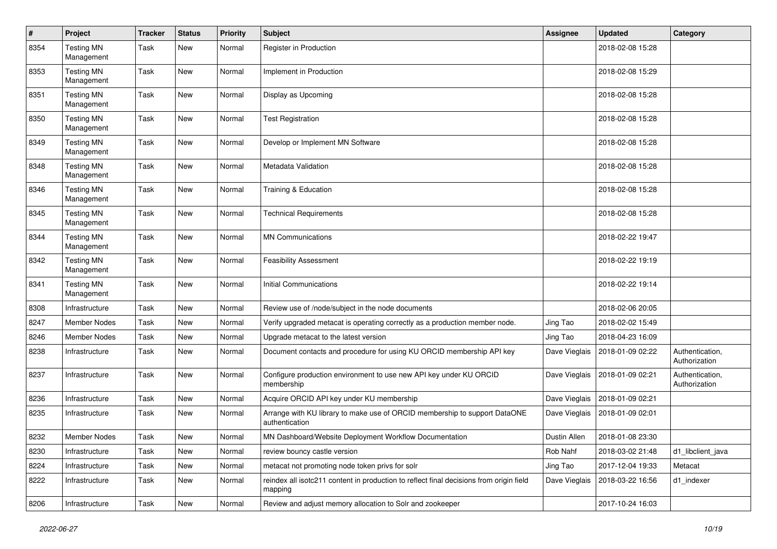| #    | Project                         | <b>Tracker</b> | <b>Status</b> | <b>Priority</b> | <b>Subject</b>                                                                                     | <b>Assignee</b> | <b>Updated</b>   | Category                         |
|------|---------------------------------|----------------|---------------|-----------------|----------------------------------------------------------------------------------------------------|-----------------|------------------|----------------------------------|
| 8354 | <b>Testing MN</b><br>Management | Task           | New           | Normal          | Register in Production                                                                             |                 | 2018-02-08 15:28 |                                  |
| 8353 | <b>Testing MN</b><br>Management | <b>Task</b>    | New           | Normal          | Implement in Production                                                                            |                 | 2018-02-08 15:29 |                                  |
| 8351 | <b>Testing MN</b><br>Management | Task           | New           | Normal          | Display as Upcoming                                                                                |                 | 2018-02-08 15:28 |                                  |
| 8350 | <b>Testing MN</b><br>Management | Task           | New           | Normal          | <b>Test Registration</b>                                                                           |                 | 2018-02-08 15:28 |                                  |
| 8349 | <b>Testing MN</b><br>Management | Task           | New           | Normal          | Develop or Implement MN Software                                                                   |                 | 2018-02-08 15:28 |                                  |
| 8348 | <b>Testing MN</b><br>Management | <b>Task</b>    | New           | Normal          | Metadata Validation                                                                                |                 | 2018-02-08 15:28 |                                  |
| 8346 | <b>Testing MN</b><br>Management | <b>Task</b>    | New           | Normal          | Training & Education                                                                               |                 | 2018-02-08 15:28 |                                  |
| 8345 | <b>Testing MN</b><br>Management | Task           | New           | Normal          | <b>Technical Requirements</b>                                                                      |                 | 2018-02-08 15:28 |                                  |
| 8344 | <b>Testing MN</b><br>Management | <b>Task</b>    | New           | Normal          | <b>MN Communications</b>                                                                           |                 | 2018-02-22 19:47 |                                  |
| 8342 | <b>Testing MN</b><br>Management | <b>Task</b>    | New           | Normal          | <b>Feasibility Assessment</b>                                                                      |                 | 2018-02-22 19:19 |                                  |
| 8341 | <b>Testing MN</b><br>Management | Task           | New           | Normal          | <b>Initial Communications</b>                                                                      |                 | 2018-02-22 19:14 |                                  |
| 8308 | Infrastructure                  | Task           | New           | Normal          | Review use of /node/subject in the node documents                                                  |                 | 2018-02-06 20:05 |                                  |
| 8247 | <b>Member Nodes</b>             | <b>Task</b>    | New           | Normal          | Verify upgraded metacat is operating correctly as a production member node.                        | Jing Tao        | 2018-02-02 15:49 |                                  |
| 8246 | <b>Member Nodes</b>             | Task           | New           | Normal          | Upgrade metacat to the latest version                                                              | Jing Tao        | 2018-04-23 16:09 |                                  |
| 8238 | Infrastructure                  | Task           | New           | Normal          | Document contacts and procedure for using KU ORCID membership API key                              | Dave Vieglais   | 2018-01-09 02:22 | Authentication,<br>Authorization |
| 8237 | Infrastructure                  | <b>Task</b>    | New           | Normal          | Configure production environment to use new API key under KU ORCID<br>membership                   | Dave Vieglais   | 2018-01-09 02:21 | Authentication,<br>Authorization |
| 8236 | Infrastructure                  | Task           | New           | Normal          | Acquire ORCID API key under KU membership                                                          | Dave Vieglais   | 2018-01-09 02:21 |                                  |
| 8235 | Infrastructure                  | Task           | New           | Normal          | Arrange with KU library to make use of ORCID membership to support DataONE<br>authentication       | Dave Vieglais   | 2018-01-09 02:01 |                                  |
| 8232 | Member Nodes                    | Task           | New           | Normal          | MN Dashboard/Website Deployment Workflow Documentation                                             | Dustin Allen    | 2018-01-08 23:30 |                                  |
| 8230 | Infrastructure                  | Task           | New           | Normal          | review bouncy castle version                                                                       | Rob Nahf        | 2018-03-02 21:48 | d1_libclient_java                |
| 8224 | Infrastructure                  | Task           | New           | Normal          | metacat not promoting node token privs for solr                                                    | Jing Tao        | 2017-12-04 19:33 | Metacat                          |
| 8222 | Infrastructure                  | Task           | New           | Normal          | reindex all isotc211 content in production to reflect final decisions from origin field<br>mapping | Dave Vieglais   | 2018-03-22 16:56 | d1_indexer                       |
| 8206 | Infrastructure                  | Task           | New           | Normal          | Review and adjust memory allocation to Solr and zookeeper                                          |                 | 2017-10-24 16:03 |                                  |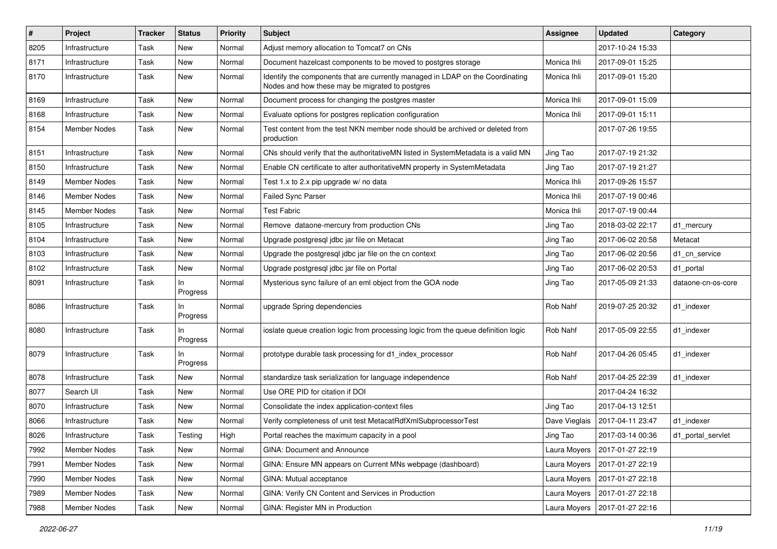| $\sharp$ | Project             | <b>Tracker</b> | <b>Status</b>   | <b>Priority</b> | <b>Subject</b>                                                                                                                    | <b>Assignee</b> | <b>Updated</b>   | Category           |
|----------|---------------------|----------------|-----------------|-----------------|-----------------------------------------------------------------------------------------------------------------------------------|-----------------|------------------|--------------------|
| 8205     | Infrastructure      | Task           | New             | Normal          | Adjust memory allocation to Tomcat7 on CNs                                                                                        |                 | 2017-10-24 15:33 |                    |
| 8171     | Infrastructure      | Task           | New             | Normal          | Document hazelcast components to be moved to postgres storage                                                                     | Monica Ihli     | 2017-09-01 15:25 |                    |
| 8170     | Infrastructure      | Task           | New             | Normal          | Identify the components that are currently managed in LDAP on the Coordinating<br>Nodes and how these may be migrated to postgres | Monica Ihli     | 2017-09-01 15:20 |                    |
| 8169     | Infrastructure      | Task           | New             | Normal          | Document process for changing the postgres master                                                                                 | Monica Ihli     | 2017-09-01 15:09 |                    |
| 8168     | Infrastructure      | Task           | New             | Normal          | Evaluate options for postgres replication configuration                                                                           | Monica Ihli     | 2017-09-01 15:11 |                    |
| 8154     | Member Nodes        | Task           | New             | Normal          | Test content from the test NKN member node should be archived or deleted from<br>production                                       |                 | 2017-07-26 19:55 |                    |
| 8151     | Infrastructure      | Task           | New             | Normal          | CNs should verify that the authoritativeMN listed in SystemMetadata is a valid MN                                                 | Jing Tao        | 2017-07-19 21:32 |                    |
| 8150     | Infrastructure      | Task           | New             | Normal          | Enable CN certificate to alter authoritativeMN property in SystemMetadata                                                         | Jing Tao        | 2017-07-19 21:27 |                    |
| 8149     | Member Nodes        | Task           | New             | Normal          | Test 1.x to 2.x pip upgrade w/ no data                                                                                            | Monica Ihli     | 2017-09-26 15:57 |                    |
| 8146     | <b>Member Nodes</b> | Task           | New             | Normal          | <b>Failed Sync Parser</b>                                                                                                         | Monica Ihli     | 2017-07-19 00:46 |                    |
| 8145     | <b>Member Nodes</b> | Task           | New             | Normal          | <b>Test Fabric</b>                                                                                                                | Monica Ihli     | 2017-07-19 00:44 |                    |
| 8105     | Infrastructure      | Task           | New             | Normal          | Remove dataone-mercury from production CNs                                                                                        | Jing Tao        | 2018-03-02 22:17 | d1_mercury         |
| 8104     | Infrastructure      | Task           | New             | Normal          | Upgrade postgresql jdbc jar file on Metacat                                                                                       | Jing Tao        | 2017-06-02 20:58 | Metacat            |
| 8103     | Infrastructure      | Task           | New             | Normal          | Upgrade the postgresgl idbc jar file on the cn context                                                                            | Jing Tao        | 2017-06-02 20:56 | d1_cn_service      |
| 8102     | Infrastructure      | Task           | New             | Normal          | Upgrade postgresql jdbc jar file on Portal                                                                                        | Jing Tao        | 2017-06-02 20:53 | d1_portal          |
| 8091     | Infrastructure      | Task           | ln.<br>Progress | Normal          | Mysterious sync failure of an eml object from the GOA node                                                                        | Jing Tao        | 2017-05-09 21:33 | dataone-cn-os-core |
| 8086     | Infrastructure      | Task           | In<br>Progress  | Normal          | upgrade Spring dependencies                                                                                                       | Rob Nahf        | 2019-07-25 20:32 | d1 indexer         |
| 8080     | Infrastructure      | Task           | ln.<br>Progress | Normal          | ioslate queue creation logic from processing logic from the queue definition logic                                                | Rob Nahf        | 2017-05-09 22:55 | d1 indexer         |
| 8079     | Infrastructure      | Task           | In<br>Progress  | Normal          | prototype durable task processing for d1_index_processor                                                                          | Rob Nahf        | 2017-04-26 05:45 | d1 indexer         |
| 8078     | Infrastructure      | Task           | New             | Normal          | standardize task serialization for language independence                                                                          | Rob Nahf        | 2017-04-25 22:39 | d1 indexer         |
| 8077     | Search UI           | Task           | New             | Normal          | Use ORE PID for citation if DOI                                                                                                   |                 | 2017-04-24 16:32 |                    |
| 8070     | Infrastructure      | Task           | New             | Normal          | Consolidate the index application-context files                                                                                   | Jing Tao        | 2017-04-13 12:51 |                    |
| 8066     | Infrastructure      | Task           | New             | Normal          | Verify completeness of unit test MetacatRdfXmlSubprocessorTest                                                                    | Dave Vieglais   | 2017-04-11 23:47 | d1 indexer         |
| 8026     | Infrastructure      | Task           | Testing         | High            | Portal reaches the maximum capacity in a pool                                                                                     | Jing Tao        | 2017-03-14 00:36 | d1 portal servlet  |
| 7992     | Member Nodes        | Task           | New             | Normal          | GINA: Document and Announce                                                                                                       | Laura Moyers    | 2017-01-27 22:19 |                    |
| 7991     | Member Nodes        | Task           | New             | Normal          | GINA: Ensure MN appears on Current MNs webpage (dashboard)                                                                        | Laura Moyers    | 2017-01-27 22:19 |                    |
| 7990     | Member Nodes        | Task           | New             | Normal          | GINA: Mutual acceptance                                                                                                           | Laura Moyers    | 2017-01-27 22:18 |                    |
| 7989     | Member Nodes        | Task           | New             | Normal          | GINA: Verify CN Content and Services in Production                                                                                | Laura Moyers    | 2017-01-27 22:18 |                    |
| 7988     | Member Nodes        | Task           | New             | Normal          | GINA: Register MN in Production                                                                                                   | Laura Moyers    | 2017-01-27 22:16 |                    |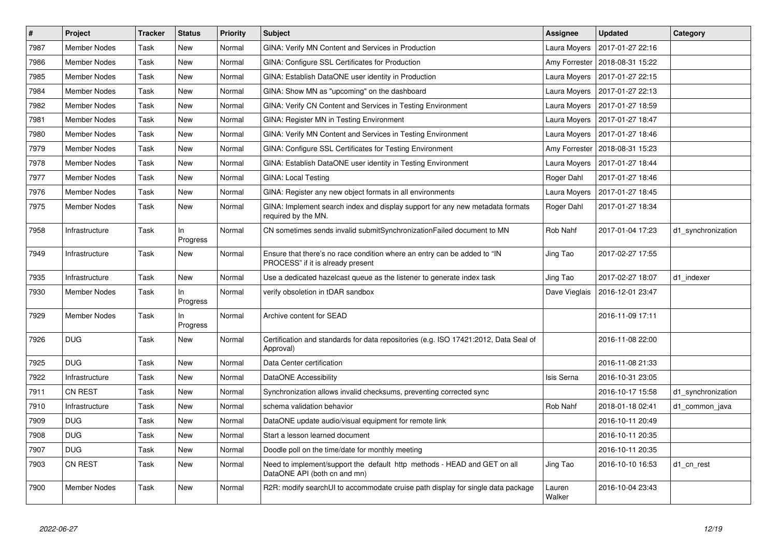| $\vert$ # | <b>Project</b>      | <b>Tracker</b> | <b>Status</b>   | <b>Priority</b> | <b>Subject</b>                                                                                                | Assignee         | <b>Updated</b>   | Category           |
|-----------|---------------------|----------------|-----------------|-----------------|---------------------------------------------------------------------------------------------------------------|------------------|------------------|--------------------|
| 7987      | <b>Member Nodes</b> | Task           | New             | Normal          | GINA: Verify MN Content and Services in Production                                                            | Laura Moyers     | 2017-01-27 22:16 |                    |
| 7986      | <b>Member Nodes</b> | Task           | New             | Normal          | GINA: Configure SSL Certificates for Production                                                               | Amy Forrester    | 2018-08-31 15:22 |                    |
| 7985      | <b>Member Nodes</b> | Task           | New             | Normal          | GINA: Establish DataONE user identity in Production                                                           | Laura Moyers     | 2017-01-27 22:15 |                    |
| 7984      | <b>Member Nodes</b> | Task           | New             | Normal          | GINA: Show MN as "upcoming" on the dashboard                                                                  | Laura Moyers     | 2017-01-27 22:13 |                    |
| 7982      | <b>Member Nodes</b> | Task           | New             | Normal          | GINA: Verify CN Content and Services in Testing Environment                                                   | Laura Moyers     | 2017-01-27 18:59 |                    |
| 7981      | <b>Member Nodes</b> | Task           | New             | Normal          | <b>GINA: Register MN in Testing Environment</b>                                                               | Laura Moyers     | 2017-01-27 18:47 |                    |
| 7980      | <b>Member Nodes</b> | Task           | New             | Normal          | GINA: Verify MN Content and Services in Testing Environment                                                   | Laura Moyers     | 2017-01-27 18:46 |                    |
| 7979      | <b>Member Nodes</b> | Task           | New             | Normal          | GINA: Configure SSL Certificates for Testing Environment                                                      | Amy Forrester    | 2018-08-31 15:23 |                    |
| 7978      | <b>Member Nodes</b> | Task           | New             | Normal          | GINA: Establish DataONE user identity in Testing Environment                                                  | Laura Moyers     | 2017-01-27 18:44 |                    |
| 7977      | <b>Member Nodes</b> | Task           | New             | Normal          | <b>GINA: Local Testing</b>                                                                                    | Roger Dahl       | 2017-01-27 18:46 |                    |
| 7976      | <b>Member Nodes</b> | Task           | New             | Normal          | GINA: Register any new object formats in all environments                                                     | Laura Moyers     | 2017-01-27 18:45 |                    |
| 7975      | Member Nodes        | Task           | New             | Normal          | GINA: Implement search index and display support for any new metadata formats<br>required by the MN.          | Roger Dahl       | 2017-01-27 18:34 |                    |
| 7958      | Infrastructure      | Task           | In.<br>Progress | Normal          | CN sometimes sends invalid submitSynchronizationFailed document to MN                                         | Rob Nahf         | 2017-01-04 17:23 | d1_synchronization |
| 7949      | Infrastructure      | Task           | New             | Normal          | Ensure that there's no race condition where an entry can be added to "IN<br>PROCESS" if it is already present | Jing Tao         | 2017-02-27 17:55 |                    |
| 7935      | Infrastructure      | Task           | New             | Normal          | Use a dedicated hazelcast queue as the listener to generate index task                                        | Jing Tao         | 2017-02-27 18:07 | d1 indexer         |
| 7930      | <b>Member Nodes</b> | Task           | ln.<br>Progress | Normal          | verify obsoletion in tDAR sandbox                                                                             | Dave Vieglais    | 2016-12-01 23:47 |                    |
| 7929      | <b>Member Nodes</b> | Task           | In.<br>Progress | Normal          | Archive content for SEAD                                                                                      |                  | 2016-11-09 17:11 |                    |
| 7926      | <b>DUG</b>          | Task           | New             | Normal          | Certification and standards for data repositories (e.g. ISO 17421:2012, Data Seal of<br>Approval)             |                  | 2016-11-08 22:00 |                    |
| 7925      | <b>DUG</b>          | Task           | New             | Normal          | Data Center certification                                                                                     |                  | 2016-11-08 21:33 |                    |
| 7922      | Infrastructure      | Task           | New             | Normal          | DataONE Accessibility                                                                                         | Isis Serna       | 2016-10-31 23:05 |                    |
| 7911      | <b>CN REST</b>      | Task           | New             | Normal          | Synchronization allows invalid checksums, preventing corrected sync                                           |                  | 2016-10-17 15:58 | d1 synchronization |
| 7910      | Infrastructure      | Task           | New             | Normal          | schema validation behavior                                                                                    | Rob Nahf         | 2018-01-18 02:41 | d1 common java     |
| 7909      | <b>DUG</b>          | Task           | New             | Normal          | DataONE update audio/visual equipment for remote link                                                         |                  | 2016-10-11 20:49 |                    |
| 7908      | <b>DUG</b>          | Task           | New             | Normal          | Start a lesson learned document                                                                               |                  | 2016-10-11 20:35 |                    |
| 7907      | <b>DUG</b>          | Task           | New             | Normal          | Doodle poll on the time/date for monthly meeting                                                              |                  | 2016-10-11 20:35 |                    |
| 7903      | <b>CN REST</b>      | Task           | New             | Normal          | Need to implement/support the default http methods - HEAD and GET on all<br>DataONE API (both cn and mn)      | Jing Tao         | 2016-10-10 16:53 | d1_cn_rest         |
| 7900      | Member Nodes        | Task           | New             | Normal          | R2R: modify searchUI to accommodate cruise path display for single data package                               | Lauren<br>Walker | 2016-10-04 23:43 |                    |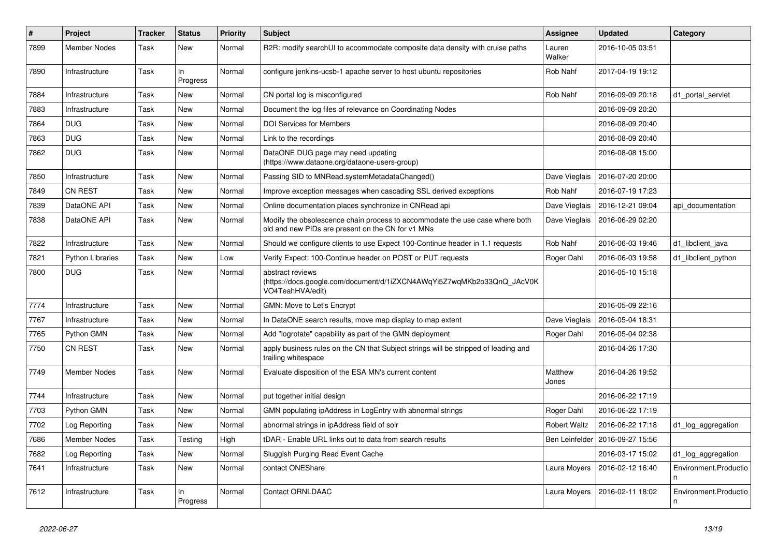| $\vert$ # | Project                 | <b>Tracker</b> | <b>Status</b>   | <b>Priority</b> | <b>Subject</b>                                                                                                                    | Assignee              | <b>Updated</b>   | Category                   |
|-----------|-------------------------|----------------|-----------------|-----------------|-----------------------------------------------------------------------------------------------------------------------------------|-----------------------|------------------|----------------------------|
| 7899      | <b>Member Nodes</b>     | Task           | New             | Normal          | R2R: modify searchUI to accommodate composite data density with cruise paths                                                      | Lauren<br>Walker      | 2016-10-05 03:51 |                            |
| 7890      | Infrastructure          | Task           | In.<br>Progress | Normal          | configure jenkins-ucsb-1 apache server to host ubuntu repositories                                                                | Rob Nahf              | 2017-04-19 19:12 |                            |
| 7884      | Infrastructure          | Task           | <b>New</b>      | Normal          | CN portal log is misconfigured                                                                                                    | Rob Nahf              | 2016-09-09 20:18 | d1 portal servlet          |
| 7883      | Infrastructure          | Task           | New             | Normal          | Document the log files of relevance on Coordinating Nodes                                                                         |                       | 2016-09-09 20:20 |                            |
| 7864      | <b>DUG</b>              | Task           | New             | Normal          | <b>DOI Services for Members</b>                                                                                                   |                       | 2016-08-09 20:40 |                            |
| 7863      | <b>DUG</b>              | Task           | New             | Normal          | Link to the recordings                                                                                                            |                       | 2016-08-09 20:40 |                            |
| 7862      | <b>DUG</b>              | Task           | New             | Normal          | DataONE DUG page may need updating<br>(https://www.dataone.org/dataone-users-group)                                               |                       | 2016-08-08 15:00 |                            |
| 7850      | Infrastructure          | Task           | New             | Normal          | Passing SID to MNRead.systemMetadataChanged()                                                                                     | Dave Vieglais         | 2016-07-20 20:00 |                            |
| 7849      | <b>CN REST</b>          | Task           | New             | Normal          | Improve exception messages when cascading SSL derived exceptions                                                                  | Rob Nahf              | 2016-07-19 17:23 |                            |
| 7839      | DataONE API             | Task           | New             | Normal          | Online documentation places synchronize in CNRead api                                                                             | Dave Vieglais         | 2016-12-21 09:04 | api_documentation          |
| 7838      | DataONE API             | Task           | New             | Normal          | Modify the obsolescence chain process to accommodate the use case where both<br>old and new PIDs are present on the CN for v1 MNs | Dave Vieglais         | 2016-06-29 02:20 |                            |
| 7822      | Infrastructure          | Task           | <b>New</b>      | Normal          | Should we configure clients to use Expect 100-Continue header in 1.1 requests                                                     | <b>Rob Nahf</b>       | 2016-06-03 19:46 | d1_libclient_java          |
| 7821      | <b>Python Libraries</b> | Task           | New             | Low             | Verify Expect: 100-Continue header on POST or PUT requests                                                                        | Roger Dahl            | 2016-06-03 19:58 | d1 libclient python        |
| 7800      | <b>DUG</b>              | Task           | New             | Normal          | abstract reviews<br>(https://docs.google.com/document/d/1iZXCN4AWqYi5Z7wqMKb2o33QnQ_JAcV0K<br>VO4TeahHVA/edit)                    |                       | 2016-05-10 15:18 |                            |
| 7774      | Infrastructure          | Task           | New             | Normal          | GMN: Move to Let's Encrypt                                                                                                        |                       | 2016-05-09 22:16 |                            |
| 7767      | Infrastructure          | Task           | New             | Normal          | In DataONE search results, move map display to map extent                                                                         | Dave Vieglais         | 2016-05-04 18:31 |                            |
| 7765      | Python GMN              | Task           | New             | Normal          | Add "logrotate" capability as part of the GMN deployment                                                                          | Roger Dahl            | 2016-05-04 02:38 |                            |
| 7750      | <b>CN REST</b>          | Task           | New             | Normal          | apply business rules on the CN that Subject strings will be stripped of leading and<br>trailing whitespace                        |                       | 2016-04-26 17:30 |                            |
| 7749      | Member Nodes            | Task           | <b>New</b>      | Normal          | Evaluate disposition of the ESA MN's current content                                                                              | Matthew<br>Jones      | 2016-04-26 19:52 |                            |
| 7744      | Infrastructure          | Task           | New             | Normal          | put together initial design                                                                                                       |                       | 2016-06-22 17:19 |                            |
| 7703      | Python GMN              | Task           | New             | Normal          | GMN populating ipAddress in LogEntry with abnormal strings                                                                        | Roger Dahl            | 2016-06-22 17:19 |                            |
| 7702      | Log Reporting           | Task           | New             | Normal          | abnormal strings in ipAddress field of solr                                                                                       | <b>Robert Waltz</b>   | 2016-06-22 17:18 | d1_log_aggregation         |
| 7686      | <b>Member Nodes</b>     | Task           | Testing         | High            | tDAR - Enable URL links out to data from search results                                                                           | <b>Ben Leinfelder</b> | 2016-09-27 15:56 |                            |
| 7682      | Log Reporting           | Task           | New             | Normal          | Sluggish Purging Read Event Cache                                                                                                 |                       | 2016-03-17 15:02 | d1_log_aggregation         |
| 7641      | Infrastructure          | Task           | New             | Normal          | contact ONEShare                                                                                                                  | Laura Moyers          | 2016-02-12 16:40 | Environment.Productio<br>n |
| 7612      | Infrastructure          | Task           | ln.<br>Progress | Normal          | <b>Contact ORNLDAAC</b>                                                                                                           | Laura Moyers          | 2016-02-11 18:02 | Environment.Productio<br>n |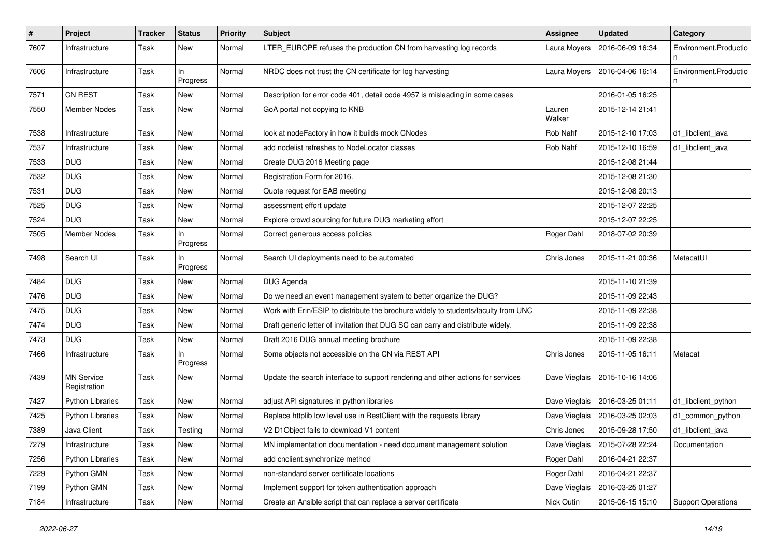| #    | Project                           | <b>Tracker</b> | <b>Status</b>   | <b>Priority</b> | Subject                                                                            | <b>Assignee</b>  | <b>Updated</b>   | Category                   |
|------|-----------------------------------|----------------|-----------------|-----------------|------------------------------------------------------------------------------------|------------------|------------------|----------------------------|
| 7607 | Infrastructure                    | Task           | New             | Normal          | LTER_EUROPE refuses the production CN from harvesting log records                  | Laura Moyers     | 2016-06-09 16:34 | Environment.Productio      |
| 7606 | Infrastructure                    | Task           | ln<br>Progress  | Normal          | NRDC does not trust the CN certificate for log harvesting                          | Laura Moyers     | 2016-04-06 16:14 | Environment.Productio<br>n |
| 7571 | <b>CN REST</b>                    | Task           | New             | Normal          | Description for error code 401, detail code 4957 is misleading in some cases       |                  | 2016-01-05 16:25 |                            |
| 7550 | <b>Member Nodes</b>               | Task           | New             | Normal          | GoA portal not copying to KNB                                                      | Lauren<br>Walker | 2015-12-14 21:41 |                            |
| 7538 | Infrastructure                    | Task           | New             | Normal          | look at nodeFactory in how it builds mock CNodes                                   | Rob Nahf         | 2015-12-10 17:03 | d1_libclient_java          |
| 7537 | Infrastructure                    | Task           | New             | Normal          | add nodelist refreshes to NodeLocator classes                                      | Rob Nahf         | 2015-12-10 16:59 | d1_libclient_java          |
| 7533 | <b>DUG</b>                        | Task           | New             | Normal          | Create DUG 2016 Meeting page                                                       |                  | 2015-12-08 21:44 |                            |
| 7532 | <b>DUG</b>                        | Task           | New             | Normal          | Registration Form for 2016.                                                        |                  | 2015-12-08 21:30 |                            |
| 7531 | <b>DUG</b>                        | Task           | New             | Normal          | Quote request for EAB meeting                                                      |                  | 2015-12-08 20:13 |                            |
| 7525 | <b>DUG</b>                        | Task           | New             | Normal          | assessment effort update                                                           |                  | 2015-12-07 22:25 |                            |
| 7524 | <b>DUG</b>                        | Task           | New             | Normal          | Explore crowd sourcing for future DUG marketing effort                             |                  | 2015-12-07 22:25 |                            |
| 7505 | <b>Member Nodes</b>               | Task           | ln.<br>Progress | Normal          | Correct generous access policies                                                   | Roger Dahl       | 2018-07-02 20:39 |                            |
| 7498 | Search UI                         | Task           | ln.<br>Progress | Normal          | Search UI deployments need to be automated                                         | Chris Jones      | 2015-11-21 00:36 | MetacatUI                  |
| 7484 | <b>DUG</b>                        | Task           | New             | Normal          | DUG Agenda                                                                         |                  | 2015-11-10 21:39 |                            |
| 7476 | <b>DUG</b>                        | Task           | New             | Normal          | Do we need an event management system to better organize the DUG?                  |                  | 2015-11-09 22:43 |                            |
| 7475 | <b>DUG</b>                        | Task           | New             | Normal          | Work with Erin/ESIP to distribute the brochure widely to students/faculty from UNC |                  | 2015-11-09 22:38 |                            |
| 7474 | <b>DUG</b>                        | Task           | New             | Normal          | Draft generic letter of invitation that DUG SC can carry and distribute widely.    |                  | 2015-11-09 22:38 |                            |
| 7473 | <b>DUG</b>                        | Task           | New             | Normal          | Draft 2016 DUG annual meeting brochure                                             |                  | 2015-11-09 22:38 |                            |
| 7466 | Infrastructure                    | Task           | In<br>Progress  | Normal          | Some objects not accessible on the CN via REST API                                 | Chris Jones      | 2015-11-05 16:11 | Metacat                    |
| 7439 | <b>MN Service</b><br>Registration | Task           | New             | Normal          | Update the search interface to support rendering and other actions for services    | Dave Vieglais    | 2015-10-16 14:06 |                            |
| 7427 | <b>Python Libraries</b>           | Task           | New             | Normal          | adjust API signatures in python libraries                                          | Dave Vieglais    | 2016-03-25 01:11 | d1_libclient_python        |
| 7425 | <b>Python Libraries</b>           | Task           | New             | Normal          | Replace httplib low level use in RestClient with the requests library              | Dave Vieglais    | 2016-03-25 02:03 | d1_common_python           |
| 7389 | Java Client                       | Task           | Testing         | Normal          | V2 D1Object fails to download V1 content                                           | Chris Jones      | 2015-09-28 17:50 | d1_libclient_java          |
| 7279 | Infrastructure                    | Task           | New             | Normal          | MN implementation documentation - need document management solution                | Dave Vieglais    | 2015-07-28 22:24 | Documentation              |
| 7256 | <b>Python Libraries</b>           | Task           | New             | Normal          | add cnclient.synchronize method                                                    | Roger Dahl       | 2016-04-21 22:37 |                            |
| 7229 | Python GMN                        | Task           | New             | Normal          | non-standard server certificate locations                                          | Roger Dahl       | 2016-04-21 22:37 |                            |
| 7199 | Python GMN                        | Task           | New             | Normal          | Implement support for token authentication approach                                | Dave Vieglais    | 2016-03-25 01:27 |                            |
| 7184 | Infrastructure                    | Task           | New             | Normal          | Create an Ansible script that can replace a server certificate                     | Nick Outin       | 2015-06-15 15:10 | <b>Support Operations</b>  |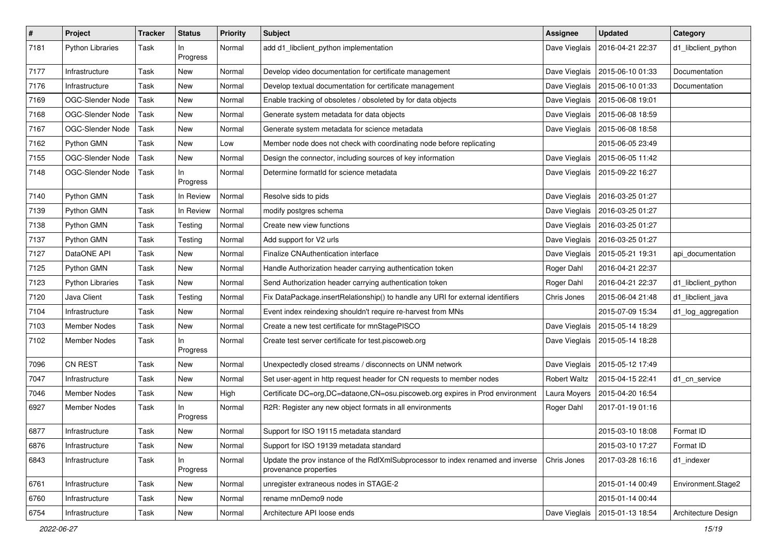| $\pmb{\#}$ | Project                 | Tracker | <b>Status</b>   | <b>Priority</b> | Subject                                                                                                  | <b>Assignee</b>     | <b>Updated</b>   | Category            |
|------------|-------------------------|---------|-----------------|-----------------|----------------------------------------------------------------------------------------------------------|---------------------|------------------|---------------------|
| 7181       | <b>Python Libraries</b> | Task    | In<br>Progress  | Normal          | add d1_libclient_python implementation                                                                   | Dave Vieglais       | 2016-04-21 22:37 | d1_libclient_python |
| 7177       | Infrastructure          | Task    | New             | Normal          | Develop video documentation for certificate management                                                   | Dave Vieglais       | 2015-06-10 01:33 | Documentation       |
| 7176       | Infrastructure          | Task    | New             | Normal          | Develop textual documentation for certificate management                                                 | Dave Vieglais       | 2015-06-10 01:33 | Documentation       |
| 7169       | OGC-Slender Node        | Task    | New             | Normal          | Enable tracking of obsoletes / obsoleted by for data objects                                             | Dave Vieglais       | 2015-06-08 19:01 |                     |
| 7168       | OGC-Slender Node        | Task    | New             | Normal          | Generate system metadata for data objects                                                                | Dave Vieglais       | 2015-06-08 18:59 |                     |
| 7167       | OGC-Slender Node        | Task    | New             | Normal          | Generate system metadata for science metadata                                                            | Dave Vieglais       | 2015-06-08 18:58 |                     |
| 7162       | Python GMN              | Task    | New             | Low             | Member node does not check with coordinating node before replicating                                     |                     | 2015-06-05 23:49 |                     |
| 7155       | OGC-Slender Node        | Task    | New             | Normal          | Design the connector, including sources of key information                                               | Dave Vieglais       | 2015-06-05 11:42 |                     |
| 7148       | OGC-Slender Node        | Task    | In.<br>Progress | Normal          | Determine formatId for science metadata                                                                  | Dave Vieglais       | 2015-09-22 16:27 |                     |
| 7140       | Python GMN              | Task    | In Review       | Normal          | Resolve sids to pids                                                                                     | Dave Vieglais       | 2016-03-25 01:27 |                     |
| 7139       | Python GMN              | Task    | In Review       | Normal          | modify postgres schema                                                                                   | Dave Vieglais       | 2016-03-25 01:27 |                     |
| 7138       | Python GMN              | Task    | Testing         | Normal          | Create new view functions                                                                                | Dave Vieglais       | 2016-03-25 01:27 |                     |
| 7137       | Python GMN              | Task    | Testing         | Normal          | Add support for V2 urls                                                                                  | Dave Vieglais       | 2016-03-25 01:27 |                     |
| 7127       | DataONE API             | Task    | New             | Normal          | Finalize CNAuthentication interface                                                                      | Dave Vieglais       | 2015-05-21 19:31 | api_documentation   |
| 7125       | Python GMN              | Task    | New             | Normal          | Handle Authorization header carrying authentication token                                                | Roger Dahl          | 2016-04-21 22:37 |                     |
| 7123       | <b>Python Libraries</b> | Task    | New             | Normal          | Send Authorization header carrying authentication token                                                  | Roger Dahl          | 2016-04-21 22:37 | d1_libclient_python |
| 7120       | Java Client             | Task    | Testing         | Normal          | Fix DataPackage.insertRelationship() to handle any URI for external identifiers                          | Chris Jones         | 2015-06-04 21:48 | d1_libclient_java   |
| 7104       | Infrastructure          | Task    | New             | Normal          | Event index reindexing shouldn't require re-harvest from MNs                                             |                     | 2015-07-09 15:34 | d1_log_aggregation  |
| 7103       | <b>Member Nodes</b>     | Task    | New             | Normal          | Create a new test certificate for mnStagePISCO                                                           | Dave Vieglais       | 2015-05-14 18:29 |                     |
| 7102       | Member Nodes            | Task    | In.<br>Progress | Normal          | Create test server certificate for test.piscoweb.org                                                     | Dave Vieglais       | 2015-05-14 18:28 |                     |
| 7096       | <b>CN REST</b>          | Task    | New             | Normal          | Unexpectedly closed streams / disconnects on UNM network                                                 | Dave Vieglais       | 2015-05-12 17:49 |                     |
| 7047       | Infrastructure          | Task    | New             | Normal          | Set user-agent in http request header for CN requests to member nodes                                    | <b>Robert Waltz</b> | 2015-04-15 22:41 | d1 cn service       |
| 7046       | <b>Member Nodes</b>     | Task    | New             | High            | Certificate DC=org, DC=dataone, CN=osu.piscoweb.org expires in Prod environment                          | Laura Moyers        | 2015-04-20 16:54 |                     |
| 6927       | Member Nodes            | Task    | In<br>Progress  | Normal          | R2R: Register any new object formats in all environments                                                 | Roger Dahl          | 2017-01-19 01:16 |                     |
| 6877       | Infrastructure          | Task    | New             | Normal          | Support for ISO 19115 metadata standard                                                                  |                     | 2015-03-10 18:08 | Format ID           |
| 6876       | Infrastructure          | Task    | New             | Normal          | Support for ISO 19139 metadata standard                                                                  |                     | 2015-03-10 17:27 | Format ID           |
| 6843       | Infrastructure          | Task    | In.<br>Progress | Normal          | Update the prov instance of the RdfXmlSubprocessor to index renamed and inverse<br>provenance properties | Chris Jones         | 2017-03-28 16:16 | d1 indexer          |
| 6761       | Infrastructure          | Task    | New             | Normal          | unregister extraneous nodes in STAGE-2                                                                   |                     | 2015-01-14 00:49 | Environment.Stage2  |
| 6760       | Infrastructure          | Task    | New             | Normal          | rename mnDemo9 node                                                                                      |                     | 2015-01-14 00:44 |                     |
| 6754       | Infrastructure          | Task    | New             | Normal          | Architecture API loose ends                                                                              | Dave Vieglais       | 2015-01-13 18:54 | Architecture Design |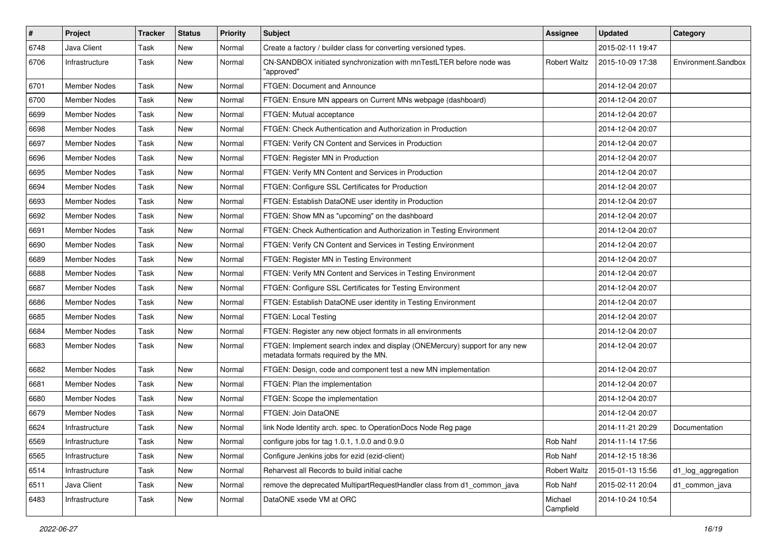| $\sharp$ | <b>Project</b>      | <b>Tracker</b> | <b>Status</b> | Priority | Subject                                                                                                            | Assignee             | <b>Updated</b>   | Category            |
|----------|---------------------|----------------|---------------|----------|--------------------------------------------------------------------------------------------------------------------|----------------------|------------------|---------------------|
| 6748     | Java Client         | Task           | New           | Normal   | Create a factory / builder class for converting versioned types.                                                   |                      | 2015-02-11 19:47 |                     |
| 6706     | Infrastructure      | Task           | New           | Normal   | CN-SANDBOX initiated synchronization with mnTestLTER before node was<br>"approved"                                 | <b>Robert Waltz</b>  | 2015-10-09 17:38 | Environment.Sandbox |
| 6701     | <b>Member Nodes</b> | Task           | New           | Normal   | FTGEN: Document and Announce                                                                                       |                      | 2014-12-04 20:07 |                     |
| 6700     | <b>Member Nodes</b> | Task           | New           | Normal   | FTGEN: Ensure MN appears on Current MNs webpage (dashboard)                                                        |                      | 2014-12-04 20:07 |                     |
| 6699     | <b>Member Nodes</b> | Task           | New           | Normal   | FTGEN: Mutual acceptance                                                                                           |                      | 2014-12-04 20:07 |                     |
| 6698     | <b>Member Nodes</b> | Task           | New           | Normal   | FTGEN: Check Authentication and Authorization in Production                                                        |                      | 2014-12-04 20:07 |                     |
| 6697     | <b>Member Nodes</b> | Task           | New           | Normal   | FTGEN: Verify CN Content and Services in Production                                                                |                      | 2014-12-04 20:07 |                     |
| 6696     | <b>Member Nodes</b> | Task           | New           | Normal   | FTGEN: Register MN in Production                                                                                   |                      | 2014-12-04 20:07 |                     |
| 6695     | <b>Member Nodes</b> | Task           | New           | Normal   | FTGEN: Verify MN Content and Services in Production                                                                |                      | 2014-12-04 20:07 |                     |
| 6694     | <b>Member Nodes</b> | Task           | New           | Normal   | FTGEN: Configure SSL Certificates for Production                                                                   |                      | 2014-12-04 20:07 |                     |
| 6693     | <b>Member Nodes</b> | Task           | New           | Normal   | FTGEN: Establish DataONE user identity in Production                                                               |                      | 2014-12-04 20:07 |                     |
| 6692     | <b>Member Nodes</b> | Task           | New           | Normal   | FTGEN: Show MN as "upcoming" on the dashboard                                                                      |                      | 2014-12-04 20:07 |                     |
| 6691     | <b>Member Nodes</b> | Task           | New           | Normal   | FTGEN: Check Authentication and Authorization in Testing Environment                                               |                      | 2014-12-04 20:07 |                     |
| 6690     | <b>Member Nodes</b> | Task           | New           | Normal   | FTGEN: Verify CN Content and Services in Testing Environment                                                       |                      | 2014-12-04 20:07 |                     |
| 6689     | Member Nodes        | Task           | New           | Normal   | FTGEN: Register MN in Testing Environment                                                                          |                      | 2014-12-04 20:07 |                     |
| 6688     | Member Nodes        | Task           | New           | Normal   | FTGEN: Verify MN Content and Services in Testing Environment                                                       |                      | 2014-12-04 20:07 |                     |
| 6687     | Member Nodes        | Task           | New           | Normal   | FTGEN: Configure SSL Certificates for Testing Environment                                                          |                      | 2014-12-04 20:07 |                     |
| 6686     | <b>Member Nodes</b> | Task           | New           | Normal   | FTGEN: Establish DataONE user identity in Testing Environment                                                      |                      | 2014-12-04 20:07 |                     |
| 6685     | <b>Member Nodes</b> | Task           | New           | Normal   | FTGEN: Local Testing                                                                                               |                      | 2014-12-04 20:07 |                     |
| 6684     | <b>Member Nodes</b> | Task           | New           | Normal   | FTGEN: Register any new object formats in all environments                                                         |                      | 2014-12-04 20:07 |                     |
| 6683     | <b>Member Nodes</b> | Task           | New           | Normal   | FTGEN: Implement search index and display (ONEMercury) support for any new<br>metadata formats required by the MN. |                      | 2014-12-04 20:07 |                     |
| 6682     | Member Nodes        | Task           | New           | Normal   | FTGEN: Design, code and component test a new MN implementation                                                     |                      | 2014-12-04 20:07 |                     |
| 6681     | <b>Member Nodes</b> | Task           | New           | Normal   | FTGEN: Plan the implementation                                                                                     |                      | 2014-12-04 20:07 |                     |
| 6680     | <b>Member Nodes</b> | Task           | New           | Normal   | FTGEN: Scope the implementation                                                                                    |                      | 2014-12-04 20:07 |                     |
| 6679     | <b>Member Nodes</b> | Task           | New           | Normal   | FTGEN: Join DataONE                                                                                                |                      | 2014-12-04 20:07 |                     |
| 6624     | Infrastructure      | Task           | New           | Normal   | link Node Identity arch. spec. to OperationDocs Node Reg page                                                      |                      | 2014-11-21 20:29 | Documentation       |
| 6569     | Infrastructure      | Task           | New           | Normal   | configure jobs for tag 1.0.1, 1.0.0 and 0.9.0                                                                      | Rob Nahf             | 2014-11-14 17:56 |                     |
| 6565     | Infrastructure      | Task           | New           | Normal   | Configure Jenkins jobs for ezid (ezid-client)                                                                      | Rob Nahf             | 2014-12-15 18:36 |                     |
| 6514     | Infrastructure      | Task           | New           | Normal   | Reharvest all Records to build initial cache                                                                       | <b>Robert Waltz</b>  | 2015-01-13 15:56 | d1_log_aggregation  |
| 6511     | Java Client         | Task           | New           | Normal   | remove the deprecated MultipartRequestHandler class from d1_common_java                                            | Rob Nahf             | 2015-02-11 20:04 | d1 common java      |
| 6483     | Infrastructure      | Task           | New           | Normal   | DataONE xsede VM at ORC                                                                                            | Michael<br>Campfield | 2014-10-24 10:54 |                     |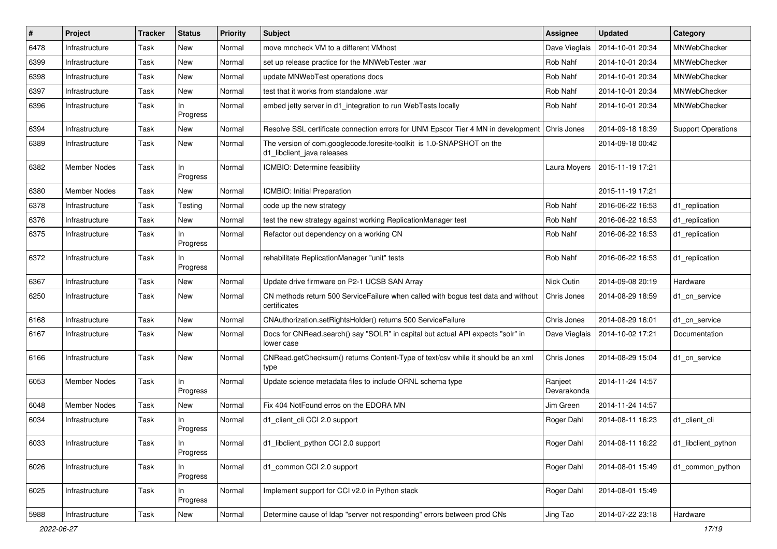| $\vert$ # | Project             | <b>Tracker</b> | <b>Status</b>   | <b>Priority</b> | Subject                                                                                             | <b>Assignee</b>        | <b>Updated</b>   | Category                  |
|-----------|---------------------|----------------|-----------------|-----------------|-----------------------------------------------------------------------------------------------------|------------------------|------------------|---------------------------|
| 6478      | Infrastructure      | Task           | New             | Normal          | move mncheck VM to a different VMhost                                                               | Dave Vieglais          | 2014-10-01 20:34 | MNWebChecker              |
| 6399      | Infrastructure      | Task           | <b>New</b>      | Normal          | set up release practice for the MNWebTester .war                                                    | Rob Nahf               | 2014-10-01 20:34 | MNWebChecker              |
| 6398      | Infrastructure      | Task           | New             | Normal          | update MNWebTest operations docs                                                                    | Rob Nahf               | 2014-10-01 20:34 | MNWebChecker              |
| 6397      | Infrastructure      | Task           | New             | Normal          | test that it works from standalone .war                                                             | Rob Nahf               | 2014-10-01 20:34 | MNWebChecker              |
| 6396      | Infrastructure      | Task           | In.<br>Progress | Normal          | embed jetty server in d1_integration to run WebTests locally                                        | Rob Nahf               | 2014-10-01 20:34 | MNWebChecker              |
| 6394      | Infrastructure      | Task           | New             | Normal          | Resolve SSL certificate connection errors for UNM Epscor Tier 4 MN in development                   | Chris Jones            | 2014-09-18 18:39 | <b>Support Operations</b> |
| 6389      | Infrastructure      | Task           | New             | Normal          | The version of com.googlecode.foresite-toolkit is 1.0-SNAPSHOT on the<br>d1_libclient_java releases |                        | 2014-09-18 00:42 |                           |
| 6382      | <b>Member Nodes</b> | Task           | ln.<br>Progress | Normal          | ICMBIO: Determine feasibility                                                                       | Laura Moyers           | 2015-11-19 17:21 |                           |
| 6380      | <b>Member Nodes</b> | Task           | New             | Normal          | ICMBIO: Initial Preparation                                                                         |                        | 2015-11-19 17:21 |                           |
| 6378      | Infrastructure      | Task           | Testing         | Normal          | code up the new strategy                                                                            | Rob Nahf               | 2016-06-22 16:53 | d1 replication            |
| 6376      | Infrastructure      | Task           | New             | Normal          | test the new strategy against working ReplicationManager test                                       | Rob Nahf               | 2016-06-22 16:53 | d1_replication            |
| 6375      | Infrastructure      | Task           | In.<br>Progress | Normal          | Refactor out dependency on a working CN                                                             | Rob Nahf               | 2016-06-22 16:53 | d1 replication            |
| 6372      | Infrastructure      | Task           | In.<br>Progress | Normal          | rehabilitate ReplicationManager "unit" tests                                                        | Rob Nahf               | 2016-06-22 16:53 | d1_replication            |
| 6367      | Infrastructure      | Task           | New             | Normal          | Update drive firmware on P2-1 UCSB SAN Array                                                        | Nick Outin             | 2014-09-08 20:19 | Hardware                  |
| 6250      | Infrastructure      | Task           | New             | Normal          | CN methods return 500 ServiceFailure when called with bogus test data and without<br>certificates   | Chris Jones            | 2014-08-29 18:59 | d1 cn service             |
| 6168      | Infrastructure      | Task           | New             | Normal          | CNAuthorization.setRightsHolder() returns 500 ServiceFailure                                        | Chris Jones            | 2014-08-29 16:01 | d1 cn service             |
| 6167      | Infrastructure      | Task           | New             | Normal          | Docs for CNRead.search() say "SOLR" in capital but actual API expects "solr" in<br>lower case       | Dave Vieglais          | 2014-10-02 17:21 | Documentation             |
| 6166      | Infrastructure      | Task           | New             | Normal          | CNRead.getChecksum() returns Content-Type of text/csv while it should be an xml<br>type             | Chris Jones            | 2014-08-29 15:04 | d1_cn_service             |
| 6053      | Member Nodes        | Task           | In.<br>Progress | Normal          | Update science metadata files to include ORNL schema type                                           | Ranjeet<br>Devarakonda | 2014-11-24 14:57 |                           |
| 6048      | <b>Member Nodes</b> | Task           | New             | Normal          | Fix 404 NotFound erros on the EDORA MN                                                              | Jim Green              | 2014-11-24 14:57 |                           |
| 6034      | Infrastructure      | Task           | ln.<br>Progress | Normal          | d1_client_cli CCI 2.0 support                                                                       | Roger Dahl             | 2014-08-11 16:23 | d1 client cli             |
| 6033      | Infrastructure      | Task           | In<br>Progress  | Normal          | d1_libclient_python CCI 2.0 support                                                                 | Roger Dahl             | 2014-08-11 16:22 | d1_libclient_python       |
| 6026      | Infrastructure      | Task           | In<br>Progress  | Normal          | d1_common CCI 2.0 support                                                                           | Roger Dahl             | 2014-08-01 15:49 | d1_common_python          |
| 6025      | Infrastructure      | Task           | In<br>Progress  | Normal          | Implement support for CCI v2.0 in Python stack                                                      | Roger Dahl             | 2014-08-01 15:49 |                           |
| 5988      | Infrastructure      | Task           | New             | Normal          | Determine cause of Idap "server not responding" errors between prod CNs                             | Jing Tao               | 2014-07-22 23:18 | Hardware                  |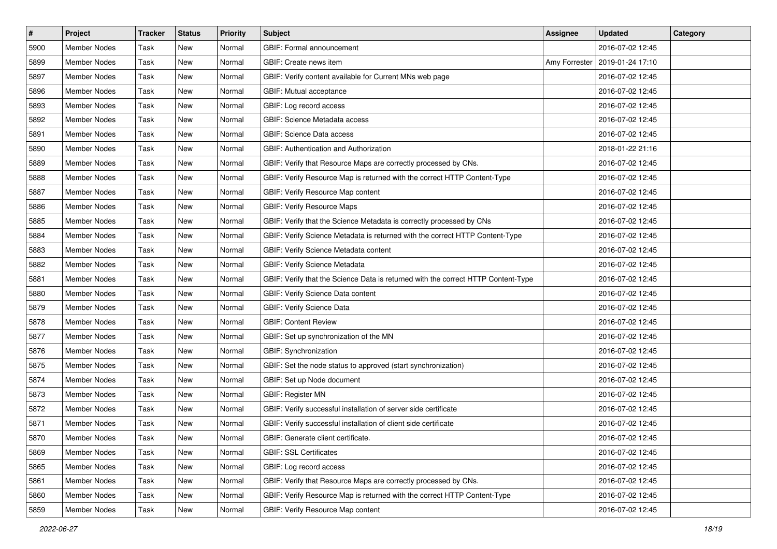| $\#$ | Project             | <b>Tracker</b> | <b>Status</b> | Priority | Subject                                                                           | Assignee      | <b>Updated</b>   | Category |
|------|---------------------|----------------|---------------|----------|-----------------------------------------------------------------------------------|---------------|------------------|----------|
| 5900 | <b>Member Nodes</b> | Task           | New           | Normal   | GBIF: Formal announcement                                                         |               | 2016-07-02 12:45 |          |
| 5899 | <b>Member Nodes</b> | Task           | New           | Normal   | GBIF: Create news item                                                            | Amy Forrester | 2019-01-24 17:10 |          |
| 5897 | <b>Member Nodes</b> | Task           | New           | Normal   | GBIF: Verify content available for Current MNs web page                           |               | 2016-07-02 12:45 |          |
| 5896 | <b>Member Nodes</b> | Task           | New           | Normal   | GBIF: Mutual acceptance                                                           |               | 2016-07-02 12:45 |          |
| 5893 | <b>Member Nodes</b> | Task           | New           | Normal   | GBIF: Log record access                                                           |               | 2016-07-02 12:45 |          |
| 5892 | <b>Member Nodes</b> | Task           | New           | Normal   | <b>GBIF: Science Metadata access</b>                                              |               | 2016-07-02 12:45 |          |
| 5891 | <b>Member Nodes</b> | Task           | New           | Normal   | GBIF: Science Data access                                                         |               | 2016-07-02 12:45 |          |
| 5890 | <b>Member Nodes</b> | Task           | New           | Normal   | <b>GBIF: Authentication and Authorization</b>                                     |               | 2018-01-22 21:16 |          |
| 5889 | Member Nodes        | Task           | New           | Normal   | GBIF: Verify that Resource Maps are correctly processed by CNs.                   |               | 2016-07-02 12:45 |          |
| 5888 | <b>Member Nodes</b> | Task           | New           | Normal   | GBIF: Verify Resource Map is returned with the correct HTTP Content-Type          |               | 2016-07-02 12:45 |          |
| 5887 | <b>Member Nodes</b> | Task           | New           | Normal   | GBIF: Verify Resource Map content                                                 |               | 2016-07-02 12:45 |          |
| 5886 | <b>Member Nodes</b> | Task           | New           | Normal   | <b>GBIF: Verify Resource Maps</b>                                                 |               | 2016-07-02 12:45 |          |
| 5885 | <b>Member Nodes</b> | Task           | New           | Normal   | GBIF: Verify that the Science Metadata is correctly processed by CNs              |               | 2016-07-02 12:45 |          |
| 5884 | <b>Member Nodes</b> | Task           | New           | Normal   | GBIF: Verify Science Metadata is returned with the correct HTTP Content-Type      |               | 2016-07-02 12:45 |          |
| 5883 | <b>Member Nodes</b> | Task           | New           | Normal   | GBIF: Verify Science Metadata content                                             |               | 2016-07-02 12:45 |          |
| 5882 | Member Nodes        | Task           | New           | Normal   | GBIF: Verify Science Metadata                                                     |               | 2016-07-02 12:45 |          |
| 5881 | <b>Member Nodes</b> | Task           | New           | Normal   | GBIF: Verify that the Science Data is returned with the correct HTTP Content-Type |               | 2016-07-02 12:45 |          |
| 5880 | <b>Member Nodes</b> | Task           | New           | Normal   | GBIF: Verify Science Data content                                                 |               | 2016-07-02 12:45 |          |
| 5879 | <b>Member Nodes</b> | Task           | New           | Normal   | <b>GBIF: Verify Science Data</b>                                                  |               | 2016-07-02 12:45 |          |
| 5878 | <b>Member Nodes</b> | Task           | New           | Normal   | <b>GBIF: Content Review</b>                                                       |               | 2016-07-02 12:45 |          |
| 5877 | <b>Member Nodes</b> | Task           | New           | Normal   | GBIF: Set up synchronization of the MN                                            |               | 2016-07-02 12:45 |          |
| 5876 | <b>Member Nodes</b> | Task           | New           | Normal   | GBIF: Synchronization                                                             |               | 2016-07-02 12:45 |          |
| 5875 | <b>Member Nodes</b> | Task           | New           | Normal   | GBIF: Set the node status to approved (start synchronization)                     |               | 2016-07-02 12:45 |          |
| 5874 | Member Nodes        | Task           | New           | Normal   | GBIF: Set up Node document                                                        |               | 2016-07-02 12:45 |          |
| 5873 | <b>Member Nodes</b> | Task           | New           | Normal   | <b>GBIF: Register MN</b>                                                          |               | 2016-07-02 12:45 |          |
| 5872 | <b>Member Nodes</b> | Task           | New           | Normal   | GBIF: Verify successful installation of server side certificate                   |               | 2016-07-02 12:45 |          |
| 5871 | <b>Member Nodes</b> | Task           | New           | Normal   | GBIF: Verify successful installation of client side certificate                   |               | 2016-07-02 12:45 |          |
| 5870 | Member Nodes        | Task           | New           | Normal   | GBIF: Generate client certificate.                                                |               | 2016-07-02 12:45 |          |
| 5869 | Member Nodes        | Task           | New           | Normal   | <b>GBIF: SSL Certificates</b>                                                     |               | 2016-07-02 12:45 |          |
| 5865 | Member Nodes        | Task           | New           | Normal   | GBIF: Log record access                                                           |               | 2016-07-02 12:45 |          |
| 5861 | Member Nodes        | Task           | New           | Normal   | GBIF: Verify that Resource Maps are correctly processed by CNs.                   |               | 2016-07-02 12:45 |          |
| 5860 | Member Nodes        | Task           | New           | Normal   | GBIF: Verify Resource Map is returned with the correct HTTP Content-Type          |               | 2016-07-02 12:45 |          |
| 5859 | Member Nodes        | Task           | New           | Normal   | GBIF: Verify Resource Map content                                                 |               | 2016-07-02 12:45 |          |